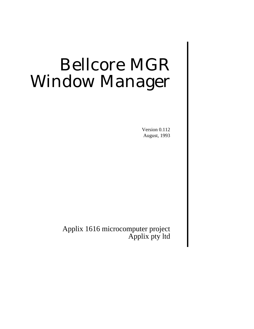# Bellcore MGR Window Manager

Version 0.112 August, 1993

Applix 1616 microcomputer project Applix pty ltd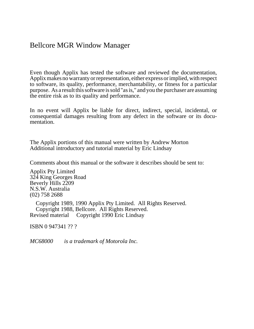## Bellcore MGR Window Manager

Even though Applix has tested the software and reviewed the documentation, Applix makes no warranty or representation, either express or implied, with respect to software, its quality, performance, merchantability, or fitness for a particular purpose. As a result this software is sold "as is," and you the purchaser are assuming the entire risk as to its quality and performance.

In no event will Applix be liable for direct, indirect, special, incidental, or consequential damages resulting from any defect in the software or its documentation.

The Applix portions of this manual were written by Andrew Morton Additional introductory and tutorial material by Eric Lindsay

Comments about this manual or the software it describes should be sent to:

Applix Pty Limited 324 King Georges Road Beverly Hills 2209 N.S.W. Australia (02) 758 2688

 Copyright 1989, 1990 Applix Pty Limited. All Rights Reserved. Copyright 1988, Bellcore. All Rights Reserved. Revised material © Copyright 1990 Eric Lindsay

ISBN 0 947341 ?? ?

*MC68000*<sup>®™</sup> *is a trademark of Motorola Inc.*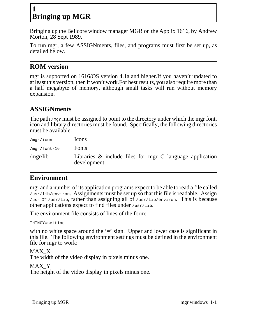# **1 Bringing up MGR**

Bringing up the Bellcore window manager MGR on the Applix 1616, by Andrew Morton, 28 Sept 1989.

To run mgr, a few ASSIGNments, files, and programs must first be set up, as detailed below.

## **ROM version**

mgr is supported on 1616/OS version 4.1a and higher.If you haven't updated to at least this version, then it won't work.For best results, you also require more than a half megabyte of memory, although small tasks will run without memory expansion.

## **ASSIGNments**

The path /mgr must be assigned to point to the directory under which the mgr font, icon and library directories must be found. Specifically, the following directories must be available:

| /mgr/icon      | <b>Icons</b>                                                                |
|----------------|-----------------------------------------------------------------------------|
| $/mqr/font-16$ | Fonts                                                                       |
| /mgr/lib       | Libraries $\&$ include files for mgr C language application<br>development. |

## **Environment**

mgr and a number of its application programs expect to be able to read a file called /usr/lib/environ. Assignments must be set up so that this file is readable. Assign /usr or /usr/lib, rather than assigning all of /usr/lib/environ. This is because other applications expect to find files under /usr/lib.

The environment file consists of lines of the form:

THINGY=setting

with no white space around the  $\equiv$  sign. Upper and lower case is significant in this file. The following environment settings must be defined in the environment file for mgr to work:

MAX\_X The width of the video display in pixels minus one.

MAX\_Y The height of the video display in pixels minus one.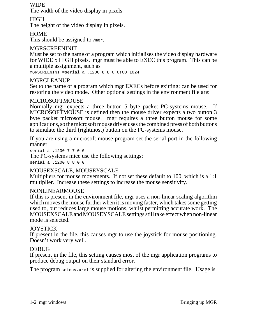#### **WIDE**

The width of the video display in pixels.

#### HIGH

The height of the video display in pixels.

#### **HOME**

This should be assigned to  $/mgr$ .

#### MGRSCREENINIT

Must be set to the name of a program which initialises the video display hardware for WIDE x HIGH pixels. mgr must be able to EXEC this program. This can be a multiple assignment, such as

MGRSCREENINIT=serial a .1200880 0!GO\_1024

#### MGRCLEANUP

Set to the name of a program which mgr EXECs before exitting: can be used for restoring the video mode. Other optional settings in the environment file are:

#### MICROSOFTMOUSE

Normally mgr expects a three button 5 byte packet PC-systems mouse. If MICROSOFTMOUSE is defined then the mouse driver expects a two button 3 byte packet microsoft mouse. mgr requires a three button mouse for some applications, so the microsoft mouse driver uses the combined press of both buttons to simulate the third (rightmost) button on the PC-systems mouse.

If you are using a microsoft mouse program set the serial port in the following manner:

serial a .1200 7 7 0 0 The PC-systems mice use the following settings: serial a .1200 8 8 0 0

#### MOUSEXSCALE, MOUSEYSCALE

Multipliers for mouse movements. If not set these default to 100, which is a 1:1 multiplier. Increase these settings to increase the mouse sensitivity.

#### NONLINEARMOUSE

If this is present in the environment file, mgr uses a non-linear scaling algorithm which moves the mouse further when it is moving faster, which takes some getting used to, but reduces large mouse motions, whilst permitting accurate work. The MOUSEXSCALE and MOUSEYSCALE settings still take effect when non-linear mode is selected.

#### **JOYSTICK**

If present in the file, this causes mgr to use the joystick for mouse positioning. Doesn't work very well.

#### **DEBUG**

If present in the file, this setting causes most of the mgr application programs to produce debug output on their standard error.

The program setenv. xrel is supplied for altering the environment file. Usage is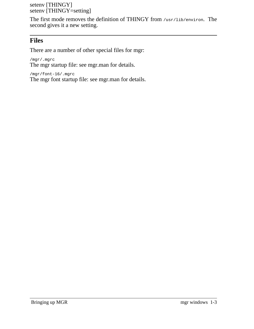setenv [THINGY] setenv [THINGY=setting]

The first mode removes the definition of THINGY from /usr/lib/environ. The second gives it a new setting.

## **Files**

There are a number of other special files for mgr:

/mgr/.mgrc The mgr startup file: see mgr.man for details.

/mgr/font-16/.mgrc

The mgr font startup file: see mgr.man for details.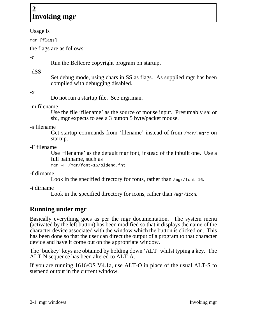# **2 Invoking mgr**

#### Usage is

mgr [flags]

the flags are as follows:

-c

Run the Bellcore copyright program on startup.

-dSS

Set debug mode, using chars in SS as flags. As supplied mgr has been compiled with debugging disabled.

 $-\mathbf{X}$ 

Do not run a startup file. See mgr.man.

-m filename

Use the file 'filename' as the source of mouse input. Presumably sa: or sb:, mgr expects to see a 3 button 5 byte/packet mouse.

-s filename

Get startup commands from 'filename' instead of from /mgr/.mgrc on startup.

-F filename

Use 'filename' as the default mgr font, instead of the inbuilt one. Use a full pathname, such as

mgr -F /mgr/font-16/oldeng.fnt

-f dirname

Look in the specified directory for fonts, rather than /mgr/font-16.

-i dirname

Look in the specified directory for icons, rather than  $/mgr/icon$ .

# **Running under mgr**

Basically everything goes as per the mgr documentation. The system menu (activated by the left button) has been modified so that it displays the name of the character device associated with the window which the button is clicked on. This has been done so that the user can direct the output of a program to that character device and have it come out on the appropriate window.

The 'buckey' keys are obtained by holding down 'ALT' whilst typing a key. The ALT-N sequence has been altered to ALT-A.

If you are running 1616/OS V4.1a, use ALT-O in place of the usual ALT-S to suspend output in the current window.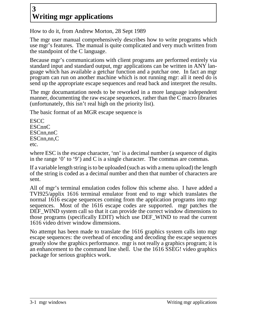# **3 Writing mgr applications**

How to do it, from Andrew Morton, 28 Sept 1989

The mgr user manual comprehensively describes how to write programs which use mgr's features. The manual is quite complicated and very much written from the standpoint of the C language.

Because mgr's communications with client programs are performed entirely via standard input and standard output, mgr applications can be written in ANY language which has available a getchar function and a putchar one. In fact an mgr program can run on another machine which is not running mgr: all it need do is send up the appropriate escape sequences and read back and interpret the results.

The mgr documantation needs to be reworked in a more language independent manner, documenting the raw escape sequences, rather than the C macro libraries (unfortunately, this isn't real high on the priority list).

The basic format of an MGR escape sequence is

**ESCC ESCnnC** ESCnn,nnC ESCnn.nn.C etc.

where ESC is the escape character, 'nn' is a decimal number (a sequence of digits in the range '0' to '9') and C is a single character. The commas are commas.

If a variable length string is to be uploaded (such as with a menu upload) the length of the string is coded as a decimal number and then that number of characters are sent.

All of mgr's terminal emulation codes follow this scheme also. I have added a TVI925/applix 1616 terminal emulator front end to mgr which translates the normal 1616 escape sequences coming from the application programs into mgr sequences. Most of the 1616 escape codes are supported. mgr patches the DEF\_WIND system call so that it can provide the correct window dimensions to those programs (specifically EDIT) which use DEF\_WIND to read the current 1616 video driver window dimensions.

No attempt has been made to translate the 1616 graphics system calls into mgr escape sequences: the overhead of encoding and decoding the escape sequences greatly slow the graphics performance. mgr is not really a graphics program; it is an enhancement to the command line shell. Use the 1616 SSEG! video graphics package for serious graphics work.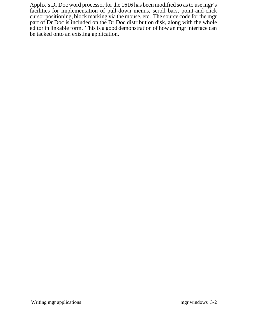Applix's Dr Doc word processor for the 1616 has been modified so as to use mgr's facilities for implementation of pull-down menus, scroll bars, point-and-click cursor positioning, block marking via the mouse, etc. The source code for the mgr part of Dr Doc is included on the Dr Doc distribution disk, along with the whole editor in linkable form. This is a good demonstration of how an mgr interface can be tacked onto an existing application.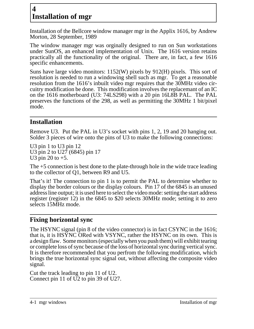# **4 Installation of mgr**

Installation of the Bellcore window manager mgr in the Applix 1616, by Andrew Morton, 28 September, 1989

The window manager mgr was orginally designed to run on Sun workstations under SunOS, an enhanced implementation of Unix. The 1616 version retains practically all the functionality of the original. There are, in fact, a few 1616 specific enhancements.

Suns have large video monitors: 1152(W) pixels by 912(H) pixels. This sort of resolution is needed to run a windowing shell such as mgr. To get a reasonable resolution from the 1616's inbuilt video mgr requires that the 30MHz video circuitry modification be done. This modification involves the replacemant of an IC on the 1616 motherboard (U3: 74LS298) with a 20 pin 16L8B PAL. The PAL preserves the functions of the 298, as well as permitting the 30MHz 1 bit/pixel mode.

# **Installation**

Remove U3. Put the PAL in U3's socket with pins 1, 2, 19 and 20 hanging out. Solder 3 pieces of wire onto the pins of U3 to make the following connections:

U3 pin 1 to U3 pin 12 U3 pin 2 to U27 (6845) pin 17 U3 pin 20 to  $+5$ .

The +5 connection is best done to the plate-through hole in the wide trace leading to the collector of Q1, between R9 and U5.

That's it! The connection to pin 1 is to permit the PAL to determine whether to display the border colours or the display colours. Pin 17 of the 6845 is an unused address line output; it is used here to select the video mode: setting the start address register (register 12) in the 6845 to \$20 selects 30MHz mode; setting it to zero selects 15MHz mode.

# **Fixing horizontal sync**

The HSYNC signal (pin 8 of the video connector) is in fact CSYNC in the 1616; that is, it is HSYNC ORed with VSYNC, rather the HSYNC on its own. This is a design flaw. Some monitors (especially when you push them) will exhibit tearing or complete loss of sync because of the loss of horizontal sync during vertical sync. It is therefore recommended that you perfrom the following modification, which brings the true horizontal sync signal out, without affecting the composite video signal.

Cut the track leading to pin 11 of U2. Connect pin 11 of U2 to pin 39 of U27.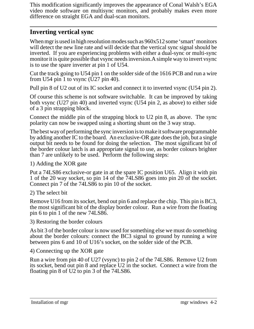This modification significantly improves the appearance of Conal Walsh's EGA video mode software on multisync monitors, and probably makes even more difference on straight EGA and dual-scan monitors.

## **Inverting vertical sync**

When mgr is used in high resolution modes such as 960x512 some 'smart' monitors will detect the new line rate and will decide that the vertical sync signal should be inverted. If you are experiencing problems with either a dual-sync or multi-sync monitor it is quite possible that vsync needs inversion.A simple way to invert vsync is to use the spare inverter at pin 1 of U54.

Cut the track going to U54 pin 1 on the solder side of the 1616 PCB and run a wire from U54 pin 1 to vsync (U27 pin 40).

Pull pin 8 of U2 out of its IC socket and connect it to inverted vsync (U54 pin 2).

Of course this scheme is not software switchable. It can be improved by taking both vsync (U27 pin 40) and inverted vsync (U54 pin 2, as above) to either side of a 3 pin strapping block.

Connect the middle pin of the strapping block to U2 pin 8, as above. The sync polarity can now be swapped using a shorting shunt on the 3 way strap.

The best way of performing the sync inversion is to make it software programmable by adding another IC to the board. An exclusive-OR gate does the job, but a single output bit needs to be found for doing the selection. The most significant bit of the border colour latch is an appropriate signal to use, as border colours brighter than 7 are unlikely to be used. Perform the following steps:

1) Adding the XOR gate

Put a 74LS86 exclusive-or gate in at the spare IC position U65. Align it with pin 1 of the 20 way socket, so pin 14 of the 74LS86 goes into pin 20 of the socket. Connect pin 7 of the 74LS86 to pin 10 of the socket.

2) The select bit

Remove U16 from its socket, bend out pin 6 and replace the chip. This pin is BC3, the most significant bit of the display border colour. Run a wire from the floating pin 6 to pin 1 of the new 74LS86.

3) Restoring the border colours

As bit 3 of the border colour is now used for something else we must do something about the border colours: connect the BC3 signal to ground by running a wire between pins 6 and 10 of U16's socket, on the solder side of the PCB.

4) Connecting up the XOR gate

Run a wire from pin 40 of U27 (vsync) to pin 2 of the 74LS86. Remove U2 from its socket, bend out pin 8 and replace U2 in the socket. Connect a wire from the floating pin 8 of U2 to pin 3 of the 74LS86.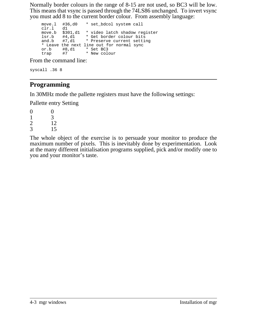Normally border colours in the range of 8-15 are not used, so BC3 will be low. This means that vsync is passed through the 74LS86 unchanged. To invert vsync you must add 8 to the current border colour. From assembly language:

```
move.l #36,d0 * set_bdcol system call
clr.l d1
move.b $301,d1 * video latch shadow register
lsr.b #4,d1 * Get border colour bits<br>and.b #7,d1 * Preserve current setti
and.b #7,d1 * Preserve current setting
* Leave the next line out for normal sync
or.b #8,d1 * Set BC3
trap #7 * New colour
```
From the command line:

syscall .36 8

# **Programming**

In 30MHz mode the pallette registers must have the following settings:

Pallette entry Setting

 $0 \qquad 0$  $\begin{array}{ccc} 1 & 3 \\ 2 & 12 \end{array}$  $\frac{2}{3}$  12 3 15

The whole object of the exercise is to persuade your monitor to produce the maximum number of pixels. This is inevitably done by experimentation. Look at the many different initialisation programs supplied, pick and/or modify one to you and your monitor's taste.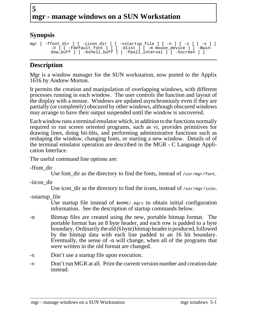# **5 mgr - manage windows on a SUN Workstation**

# **Synopsis**

```
mgr [ -ffont_dir ] [ -iicon_dir ] [ -sstartup_file ] [ -n ] [ -x ] [ -v ] [
        -V ] [ -Fdefault_font ] { [ -dlist ] [ -m mouse_device ] [ -Bwin-
        dow_buff ] [ -bshell_buff ] [ -Ppoll_interval ] [ -Sscreen ] }
```
# **Description**

Mgr is a window manager for the SUN workstation, now ported to the Applix 1616 by Andrew Morton.

It permits the creation and manipulation of overlapping windows, with different processes running in each window. The user controls the function and layout of the display with a mouse. Windows are updated asynchronously even if they are partially (or completely) obscured by other windows, although obscured windows may arrange to have their output suspended until the window is uncovered.

Each window runs a terminal emulator which, in addition to the functions normally required to run screen oriented programs, such as vi, provides primitives for drawing lines, doing bit-blts, and performing administrative functions such as reshaping the window, changing fonts, or starting a new window. Details of of the terminal emulator operation are described in the MGR - C Language Application Interface.

The useful command line options are:

-ffont\_dir

Use font\_dir as the directory to find the fonts, instead of  $/usr/mgr/font$ .

-iicon\_dir

Use icon dir as the directory to find the icons, instead of  $/usr/mqr/icon.$ 

-sstartup\_file

Use startup file instead of  $\frac{1}{2}$ HOME/.mgrc to obtain initial configuration information. See the description of startup commands below.

- -n Bitmap files are created using the new, portable bitmap format. The portable format has an 8 byte header, and each row is padded to a byte boundary. Ordinarily the old (6 byte) bitmap header is produced, followed by the bitmap data with each line padded to an 16 bit boundary. Eventually, the sense of -n will change, when all of the programs that were written in the old format are changed.
- -x Don't use a startup file upon execution.
- -v Don't run MGR at all. Print the current version number and creation date instead.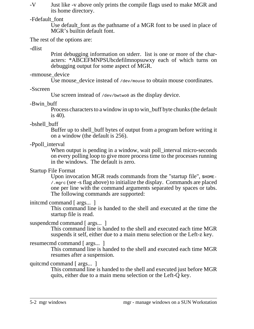-V Just like -v above only prints the compile flags used to make MGR and its home directory.

#### -Fdefault\_font

Use default font as the pathname of a MGR font to be used in place of MGR's builtin default font.

The rest of the options are:

-dlist

Print debugging information on stderr. list is one or more of the characters: \*ABCEFMNPSUbcdefilmnopsuwxy each of which turns on debugging output for some aspect of MGR.

#### -mmouse device

Use mouse device instead of /dev/mouse to obtain mouse coordinates.

#### -Sscreen

Use screen instead of /dev/bwtwo0 as the display device.

#### -Bwin\_buff

Process characters to a window in up to win\_buff byte chunks (the default is 40).

#### -bshell\_buff

Buffer up to shell\_buff bytes of output from a program before writing it on a window (the default is 256).

#### -Ppoll interval

When output is pending in a window, wait poll interval micro-seconds on every polling loop to give more process time to the processes running in the windows. The default is zero.

#### Startup File Format

Upon invocation MGR reads commands from the "startup file",  $$HOME-$$ /.mgrc (see -s flag above) to initialize the display. Commands are placed one per line with the command arguments separated by spaces or tabs. The following commands are supported:

#### initcmd command [ args... ]

This command line is handed to the shell and executed at the time the startup file is read.

#### suspendcmd command [ args... ]

This command line is handed to the shell and executed each time MGR suspends it self, either due to a main menu selection or the Left-z key.

## resumecmd command [ args... ]

This command line is handed to the shell and executed each time MGR resumes after a suspension.

## quitcmd command [ args... ]

This command line is handed to the shell and executed just before MGR quits, either due to a main menu selection or the Left-Q key.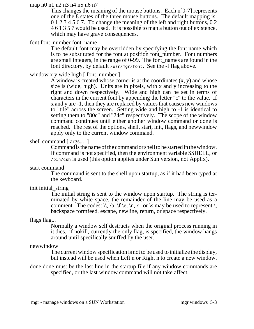#### map n0 n1 n2 n3 n4 n5 n6 n7

This changes the meaning of the mouse buttons. Each n<sup>[0-7]</sup> represents one of the 8 states of the three mouse buttons. The default mapping is: 0 1 2 3 4 5 6 7. To change the meaning of the left and right buttons, 0 2 461357 would be used. It is possible to map a button out of existence, which may have grave consequences.

#### font font number font name

The default font may be overridden by specifying the font name which is to be substituted for the font at position font\_number. Font numbers are small integers, in the range of 0-99. The font\_names are found in the font directory, by default /usr/mgr/font. See the -f flag above.

#### window x y wide high  $\lceil$  font\_number  $\rceil$

A window is created whose corner is at the coordinates  $(x, y)$  and whose size is (wide, high). Units are in pixels, with x and y increasing to the right and down respectively. Wide and high can be set in terms of characters in the current font by appending the letter "c" to the value. If x and y are -1, then they are replaced by values that causes new windows to "tile" across the screen. Setting wide and high to -1 is identical to setting them to "80c" and "24c" respectively. The scope of the window command continues until either another window command or done is reached. The rest of the options, shell, start, init, flags, and newwindow apply only to the current window command.

#### shell command [ args... ]

Command is the name of the command or shell to be started in the window. If command is not specified, then the environment variable \$SHELL, or /bin/csh is used (this option applies under Sun version, not Applix).

start command

The command is sent to the shell upon startup, as if it had been typed at the keyboard.

#### init initial\_string

The initial string is sent to the window upon startup. The string is terminated by white space, the remainder of the line may be used as a comment. The codes:  $\setminus$ ,  $\setminus$ ,  $\setminus$ ,  $\setminus$ ,  $\setminus$ ,  $\setminus$ ,  $\setminus$ ,  $\setminus$ ,  $\setminus$ ,  $\setminus$ ,  $\setminus$ ,  $\setminus$ ,  $\setminus$ ,  $\setminus$ ,  $\setminus$ ,  $\setminus$ ,  $\setminus$ ,  $\setminus$ ,  $\setminus$ ,  $\setminus$ ,  $\setminus$ ,  $\setminus$ ,  $\setminus$ ,  $\setminus$ ,  $\setminus$ ,  $\setminus$ ,  $\setminus$ ,  $\setminus$ ,  $\setminus$ backspace formfeed, escape, newline, return, or space respectively.

#### flags flag...

Normally a window self destructs when the original process running in it dies. if nokill, currently the only flag, is specified, the window hangs around until specifically snuffed by the user.

#### newwindow

The current window specification is not to be used to initialize the display, but instead will be used when Left n or Right n to create a new window.

done done must be the last line in the startup file if any window commands are specified, or the last window command will not take affect.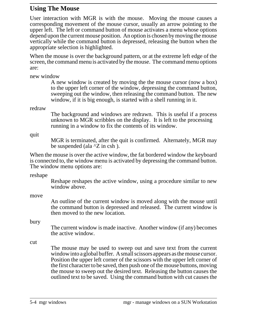## **Using The Mouse**

User interaction with MGR is with the mouse. Moving the mouse causes a corresponding movement of the mouse cursor, usually an arrow pointing to the upper left. The left or command button of mouse activates a menu whose options depend upon the current mouse position. An option is chosen by moving the mouse vertically while the command button is depressed, releasing the button when the appropriate selection is highlighted.

When the mouse is over the background pattern, or at the extreme left edge of the screen, the command menu is activated by the mouse. The command menu options are:

new window

A new window is created by moving the the mouse cursor (now a box) to the upper left corner of the window, depressing the command button, sweeping out the window, then releasing the command button. The new window, if it is big enough, is started with a shell running in it.

redraw

The background and windows are redrawn. This is useful if a process unknown to MGR scribbles on the display. It is left to the processing running in a window to fix the contents of its window.

quit

MGR is terminated, after the quit is confirmed. Alternately, MGR may be suspended (ala  ${}^{\wedge}Z$  in csh).

When the mouse is over the active window, the fat bordered window the keyboard is connected to, the window menu is activated by depressing the command button. The window menu options are:

reshape

Reshape reshapes the active window, using a procedure similar to new window above.

move

An outline of the current window is moved along with the mouse until the command button is depressed and released. The current window is then moved to the new location.

bury

The current window is made inactive. Another window (if any) becomes the active window.

cut

The mouse may be used to sweep out and save text from the current windowinto aglobal buffer. Asmall scissors appears as the mouse cursor. Position the upper left corner of the scissors with the upper left corner of the first character to be saved, then push one of the mouse buttons, moving the mouse to sweep out the desired text. Releasing the button causes the outlined text to be saved. Using the command button with cut causes the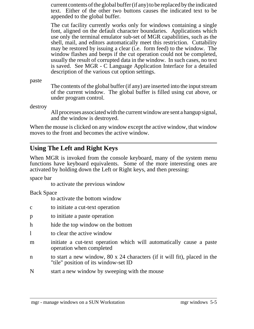currentcontents of the global buffer (if any) to be replaced by the indicated text. Either of the other two buttons causes the indicated text to be appended to the global buffer.

The cut facility currently works only for windows containing a single font, aligned on the default character boundaries. Applications which use only the terminal emulator sub-set of MGR capabilities, such as the shell, mail, and editors automatically meet this restriction. Cuttability may be restored by issuing a clear (i.e. form feed) to the window. The window flashes and beeps if the cut operation could not be completed, usually the result of corrupted data in the window. In such cases, no text is saved. See MGR - C Language Application Interface for a detailed description of the various cut option settings.

paste

The contents of the global buffer (if any) are inserted into the input stream of the current window. The global buffer is filled using cut above, or under program control.

destroy

All processes associated with the current windoware sent a hangup signal, and the window is destroyed.

When the mouse is clicked on any window except the active window, that window moves to the front and becomes the active window.

## **Using The Left and Right Keys**

When MGR is invoked from the console keyboard, many of the system menu functions have keyboard equivalents. Some of the more interesting ones are activated by holding down the Left or Right keys, and then pressing:

space bar

to activate the previous window

Back Space

to activate the bottom window

- c to initiate a cut-text operation
- p to initiate a paste operation
- h hide the top window on the bottom
- l to clear the active window
- m initiate a cut-text operation which will automatically cause a paste operation when completed
- n to start a new window, 80 x 24 characters (if it will fit), placed in the "tile" position of its window-set ID
- N start a new window by sweeping with the mouse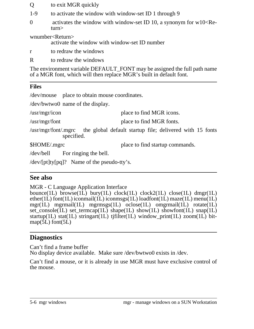- Q to exit MGR quickly
- 1-9 to activate the window with window-set ID 1 through 9
- 0 activates the window with window-set ID 10, a synonym for  $w10<$ Return>

wnumber<Return>

activate the window with window-set ID number

- r to redraw the windows
- R to redraw the windows

The environment variable DEFAULT\_FONT may be assigned the full path name of a MGR font, which will then replace MGR's built in default font.

## **Files**

/dev/mouse place to obtain mouse coordinates.

/dev/bwtwo0 name of the display.

/usr/mgr/icon place to find MGR icons.

/usr/mgr/font place to find MGR fonts.

/usr/mgr/font/.mgrc the global default startup file; delivered with 15 fonts specified.

\$HOME/.mgrc place to find startup commands.

/dev/bell For ringing the bell.

/dev/[pt]ty[pq]? Name of the pseudo-tty's.

## **See also**

MGR - C Language Application Interface

bounce(1L) browse(1L) bury(1L) clock(1L) clock2(1L) close(1L) dmgr(1L) ether(1L) font(1L) iconmail(1L) iconmsgs(1L) loadfont(1L) maze(1L) menu(1L) mgr(1L) mgrmail(1L) mgrmsgs(1L) oclose(1L) omgrmail(1L) rotate(1L) set\_console(1L) set\_termcap(1L) shape(1L) show(1L) showfont(1L) snap(1L) startup(1L) stat(1L) stringart(1L) tjfilter(1L) window\_print(1L) zoom(1L) bit $map(5L)$  font $(5L)$ 

## **Diagnostics**

Can't find a frame buffer No display device available. Make sure /dev/bwtwo0 exists in /dev.

Can't find a mouse, or it is already in use MGR must have exclusive control of the mouse.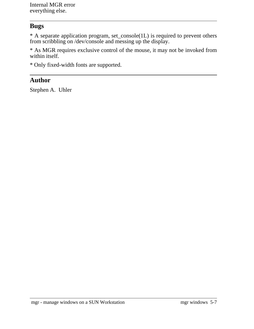Internal MGR error everything else.

## **Bugs**

\* A separate application program, set\_console(1L) is required to prevent others from scribbling on /dev/console and messing up the display.

\* As MGR requires exclusive control of the mouse, it may not be invoked from within itself.

\* Only fixed-width fonts are supported.

## **Author**

Stephen A. Uhler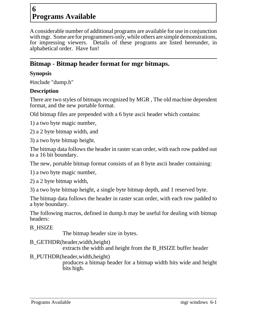# **6 Programs Available**

A considerable number of additional programs are available for use in conjunction with mgr. Some are for programmers only, while others are simple demonstrations, for impressing viewers. Details of these programs are listed hereunder, in alphabetical order. Have fun!

## **Bitmap - Bitmap header format for mgr bitmaps.**

#### **Synopsis**

#include "dump.h"

## **Description**

There are two styles of bitmaps recognized by MGR , The old machine dependent format, and the new portable format.

Old bitmap files are prepended with a 6 byte ascii header which contains:

1) a two byte magic number,

2) a 2 byte bitmap width, and

3) a two byte bitmap height.

The bitmap data follows the header in raster scan order, with each row padded out to a 16 bit boundary.

The new, portable bitmap format consists of an 8 byte ascii header containing:

1) a two byte magic number,

2) a 2 byte bitmap width,

3) a two byte bitmap height, a single byte bitmap depth, and 1 reserved byte.

The bitmap data follows the header in raster scan order, with each row padded to a byte boundary.

The following macros, defined in dump.h may be useful for dealing with bitmap headers:

B\_HSIZE

The bitmap header size in bytes.

B\_GETHDR(header,width,height)

extracts the width and height from the B\_HSIZE buffer header

## B\_PUTHDR(header,width,height)

produces a bitmap header for a bitmap width bits wide and height bits high.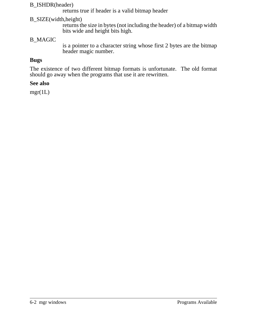#### B\_ISHDR(header)

returns true if header is a valid bitmap header

#### B\_SIZE(width,height)

returns the size in bytes (not including the header) of a bitmap width bits wide and height bits high.

#### B\_MAGIC

is a pointer to a character string whose first 2 bytes are the bitmap header magic number.

## **Bugs**

The existence of two different bitmap formats is unfortunate. The old format should go away when the programs that use it are rewritten.

#### **See also**

 $mgr(1L)$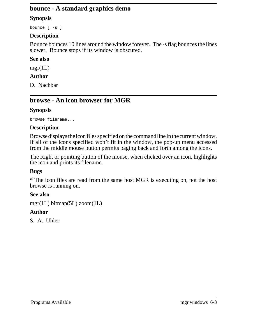## **bounce - A standard graphics demo**

#### **Synopsis**

bounce [ -s ]

#### **Description**

Bounce bounces 10 lines around the window forever. The -s flag bounces the lines slower. Bounce stops if its window is obscured.

#### **See also**

 $mgr(1L)$ 

#### **Author**

D. Nachbar

# **browse - An icon browser for MGR**

## **Synopsis**

browse filename...

#### **Description**

Browse displays the icon files specified on the command line in the current window. If all of the icons specified won't fit in the window, the pop-up menu accessed from the middle mouse button permits paging back and forth among the icons.

The Right or pointing button of the mouse, when clicked over an icon, highlights the icon and prints its filename.

#### **Bugs**

\* The icon files are read from the same host MGR is executing on, not the host browse is running on.

#### **See also**

mgr(1L) bitmap(5L) zoom(1L)

## **Author**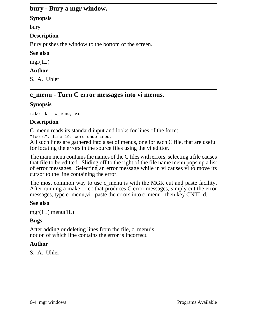## **bury - Bury a mgr window.**

#### **Synopsis**

bury

#### **Description**

Bury pushes the window to the bottom of the screen.

#### **See also**

mgr(1L)

#### **Author**

S. A. Uhler

# **c\_menu - Turn C error messages into vi menus.**

#### **Synopsis**

make -k | c\_menu; vi

#### **Description**

C\_menu reads its standard input and looks for lines of the form:

```
"foo.c", line 19: word undefined.
```
All such lines are gathered into a set of menus, one for each C file, that are useful for locating the errors in the source files using the vi edittor.

The main menu contains the names of the C files with errors, selecting a file causes that file to be editted. Sliding off to the right of the file name menu pops up a list of error messages. Selecting an error message while in vi causes vi to move its cursor to the line containing the error.

The most common way to use c menu is with the MGR cut and paste facility. After running a make or cc that produces C error messages, simply cut the error messages, type c\_menu;vi, paste the errors into c\_menu, then key CNTL d.

#### **See also**

```
mgr(1L) menu(1L)
```
#### **Bugs**

After adding or deleting lines from the file, c\_menu's notion of which line contains the error is incorrect.

## **Author**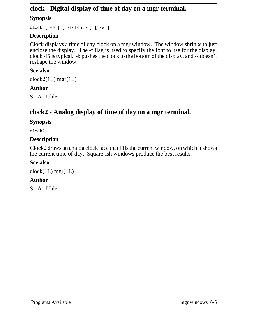## **clock - Digital display of time of day on a mgr terminal.**

#### **Synopsis**

clock [ -b ] [ -f<font> ] [ -s ]

#### **Description**

Clock displays a time of day clock on a mgr window. The window shrinks to just enclose the display. The -f flag is used to specify the font to use for the display. clock -f5 is typical. -b pushes the clock to the bottom of the display, and -s doesn't reshape the window.

#### **See also**

 $clock2(1L)$  mgr(1L)

#### **Author**

S. A. Uhler

# **clock2 - Analog display of time of day on a mgr terminal.**

#### **Synopsis**

clock2

#### **Description**

Clock2 draws an analog clock face that fills the current window, on which it shows the current time of day. Square-ish windows produce the best results.

#### **See also**

 $clock(1L)$  mgr $(1L)$ 

#### **Author**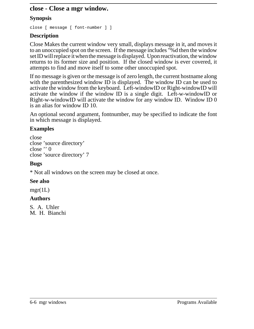#### **close - Close a mgr window.**

#### **Synopsis**

close [ message [ font-number ] ]

#### **Description**

Close Makes the current window very small, displays message in it, and moves it to an unoccupied spot on the screen. If the message includes "%d then the window set ID will replace it when the message is displayed. Upon reactivation, the window returns to its former size and position. If the closed window is ever covered, it attempts to find and move itself to some other unoccupied spot.

If no message is given or the message is of zero length, the current hostname along with the parenthesized window ID is displayed. The window ID can be used to activate the window from the keyboard. Left-windowID or Right-windowID will activate the window if the window ID is a single digit. Left-w-windowID or Right-w-windowID will activate the window for any window ID. Window ID 0 is an alias for window ID 10.

An optional second argument, fontnumber, may be specified to indicate the font in which message is displayed.

## **Examples**

close close 'source directory' close '' 0 close 'source directory' 7

#### **Bugs**

\* Not all windows on the screen may be closed at once.

#### **See also**

 $\text{mgr}(1L)$ 

#### **Authors**

S. A. Uhler M. H. Bianchi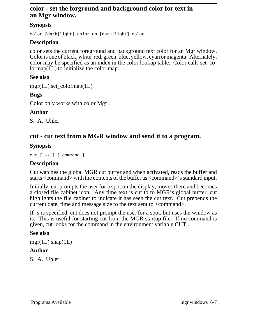#### **color - set the forground and background color for text in an Mgr window.**

#### **Synopsis**

color [dark|light] color on [dark|light] color

#### **Description**

color sets the current foreground and background text color for an Mgr window. Color is one of black, white, red, green, blue, yellow, cyan or magenta. Alternately, color may be specified as an index in the color lookup table. Color calls set\_colormap(1L) to initialize the color map.

#### **See also**

mgr(1L) set\_colormap(1L)

## **Bugs**

Color only works with color Mgr .

#### **Author**

S. A. Uhler

# **cut - cut text from a MGR window and send it to a program.**

## **Synopsis**

```
cut [ -s ] [ command ]
```
#### **Description**

Cut watches the global MGR cut buffer and when activated, reads the buffer and starts <command> with the contents of the buffer as <command>'s standard input.

Initially, cut prompts the user for a spot on the display, moves there and becomes a closed file cabinet icon. Any time text is cut to to MGR's global buffer, cut highlights the file cabinet to indicate it has seen the cut text. Cut prepends the current date, time and message size to the text sent to  $\leq$ command>.

If -s is specified, cut does not prompt the user for a spot, but uses the window as is. This is useful for starting cut from the MGR startup file. If no command is given, cut looks for the command in the environment variable CUT .

#### **See also**

 $mgr(1L)$  snap(1L)

#### **Author**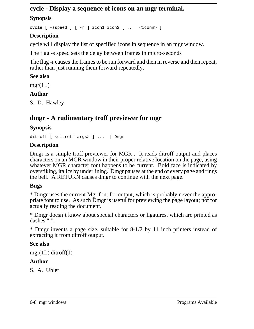## **cycle - Display a sequence of icons on an mgr terminal.**

#### **Synopsis**

cycle [ -sspeed ] [ -r ] icon1 icon2 [ ... <iconn> ]

#### **Description**

cycle will display the list of specified icons in sequence in an mgr window.

The flag -s speed sets the delay between frames in micro-seconds

The flag -r causes the frames to be run forward and then in reverse and then repeat, rather than just running them forward repeatedly.

#### **See also**

 $\text{mgr}(1L)$ 

#### **Author**

S. D. Hawley

# **dmgr - A rudimentary troff previewer for mgr**

#### **Synopsis**

ditroff [ <ditroff args> ] ... | Dmgr

#### **Description**

Dmgr is a simple troff previewer for MGR . It reads ditroff output and places characters on an MGR window in their proper relative location on the page, using whatever MGR character font happens to be current. Bold face is indicated by overstiking, italics by underlining. Dmgr pauses at the end of every page and rings the bell. A RETURN causes dmgr to continue with the next page.

#### **Bugs**

\* Dmgr uses the current Mgr font for output, which is probably never the appropriate font to use. As such Dmgr is useful for previewing the page layout; not for actually reading the document.

\* Dmgr doesn't know about special characters or ligatures, which are printed as dashes "-".

\* Dmgr invents a page size, suitable for 8-1/2 by 11 inch printers instead of extracting it from ditroff output.

#### **See also**

 $mgr(1L)$  ditroff(1)

#### **Author**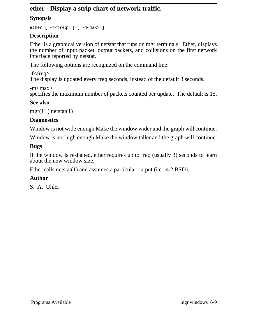## **ether - Display a strip chart of network traffic.**

## **Synopsis**

ether [ -f<freq> ] [ -m<max> ]

## **Description**

Ether is a graphical version of netstat that runs on mgr terminals. Ether, displays the number of input packet, output packets, and collisions on the first network interface reported by netstat.

The following options are recognized on the command line:

-f<freq> The display is updated every freq seconds, instead of the default 3 seconds.

-m<max> specifies the maximum number of packets counted per update. The default is 15.

## **See also**

 $mgr(1L)$  netstat(1)

## **Diagnostics**

Window is not wide enough Make the window wider and the graph will continue.

Window is not high enough Make the window taller and the graph will continue.

## **Bugs**

If the window is reshaped, ether requires up to freq (usually 3) seconds to learn about the new window size.

Ether calls netstat(1) and assumes a particular output (i.e. 4.2 BSD).

## **Author**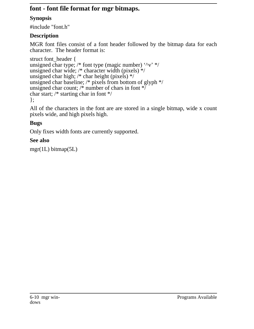# **font - font file format for mgr bitmaps.**

## **Synopsis**

#include "font.h"

## **Description**

MGR font files consist of a font header followed by the bitmap data for each character. The header format is:

```
struct font_header {
unsigned char type; /* font type (magic number) '\gamma v' */unsigned char wide; /* character width (pixels) */
unsigned char high; /* char height (pixels) */
unsigned char baseline; /* pixels from bottom of glyph */
unsigned char count; \frac{1}{*} number of chars in font \frac{1}{*}char start; /* starting char in font */
};
```
All of the characters in the font are are stored in a single bitmap, wide x count pixels wide, and high pixels high.

# **Bugs**

Only fixes width fonts are currently supported.

## **See also**

```
mgr(1L) bitmap(5L)
```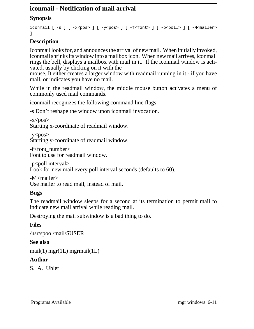## **iconmail - Notification of mail arrival**

#### **Synopsis**

```
iconmail [ -s ] [ -x<pos> ] [ -y<pos> ] [ -f<font> ] [ -p<poll> ] [ -M<mailer>
]
```
## **Description**

Iconmail looks for, and announces the arrival of new mail. When initially invoked, iconmail shrinks its window into a mailbox icon. When new mail arrives, iconmail rings the bell, displays a mailbox with mail in it. If the iconmail window is activated, usually by clicking on it with the

mouse, It either creates a larger window with readmail running in it - if you have mail, or indicates you have no mail.

While in the readmail window, the middle mouse button activates a menu of commonly used mail commands.

iconmail recognizes the following command line flags:

-s Don't reshape the window upon iconmail invocation.

 $-x<$ pos $>$ Starting x-coordinate of readmail window.

```
-y<pos>Starting y-coordinate of readmail window.
```
-f<font\_number> Font to use for readmail window.

-p<poll interval> Look for new mail every poll interval seconds (defaults to 60).

-M<mailer> Use mailer to read mail, instead of mail.

#### **Bugs**

The readmail window sleeps for a second at its termination to permit mail to indicate new mail arrival while reading mail.

Destroying the mail subwindow is a bad thing to do.

## **Files**

/usr/spool/mail/\$USER

#### **See also**

```
mail(1) mgr(1L) mgrmail(1L)
```
## **Author**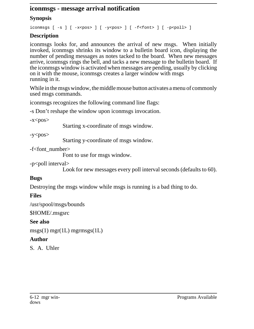#### **iconmsgs - message arrival notification**

#### **Synopsis**

iconmsgs  $[-s]$   $[-x  $[-y  $[-f ]$   $[-p ]$$$ 

## **Description**

iconmsgs looks for, and announces the arrival of new msgs. When initially invoked, iconmsgs shrinks its window to a bulletin board icon, displaying the number of pending messages as notes tacked to the board. When new messages arrive, iconmsgs rings the bell, and tacks a new message to the bulletin board. If the iconmsgs window is activated when messages are pending, usually by clicking on it with the mouse, iconmsgs creates a larger window with msgs running in it.

While in the msgs window, the middle mouse button activates a menu of commonly used msgs commands.

iconmsgs recognizes the following command line flags:

-s Don't reshape the window upon iconmsgs invocation.

 $-x<$ pos $>$ 

Starting x-coordinate of msgs window.

 $-y<$ pos $>$ 

Starting y-coordinate of msgs window.

 $-f$   $font number$ 

Font to use for msgs window.

-p<poll interval>

Look for new messages every poll interval seconds (defaults to 60).

#### **Bugs**

Destroying the msgs window while msgs is running is a bad thing to do.

#### **Files**

/usr/spool/msgs/bounds

\$HOME/.msgsrc

#### **See also**

 $msgs(1)$  mgr(1L) mgrmsgs(1L)

## **Author**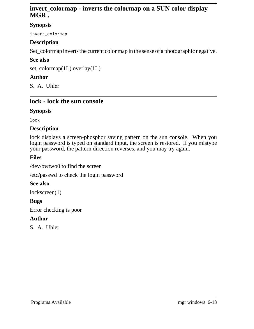## **invert\_colormap - inverts the colormap on a SUN color display MGR .**

#### **Synopsis**

invert\_colormap

## **Description**

Set\_colormap inverts the current color map in the sense of a photographic negative.

## **See also**

set\_colormap(1L) overlay(1L)

## **Author**

S. A. Uhler

## **lock - lock the sun console**

#### **Synopsis**

lock

#### **Description**

lock displays a screen-phosphor saving pattern on the sun console. When you login password is typed on standard input, the screen is restored. If you mistype your password, the pattern direction reverses, and you may try again.

#### **Files**

/dev/bwtwo0 to find the screen

/etc/passwd to check the login password

#### **See also**

lockscreen(1)

## **Bugs**

Error checking is poor

#### **Author**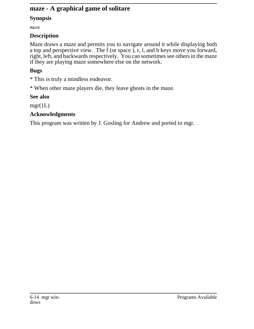## **maze - A graphical game of solitare**

#### **Synopsis**

maze

#### **Description**

Maze draws a maze and permits you to navigate around it while displaying both a top and perspective view. The f (or space ), r, l, and b keys move you forward, right, left, and backwards respectively. You can sometimes see others in the maze if they are playing maze somewhere else on the network.

## **Bugs**

\* This is truly a mindless endeavor.

\* When other maze players die, they leave ghosts in the maze.

## **See also**

 $mgr(1L)$ 

## **Acknowledgments**

This program was written by J. Gosling for Andrew and ported to mgr.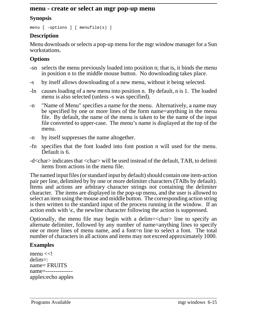#### **menu - create or select an mgr pop-up menu**

#### **Synopsis**

menu [ -options ] [ menufile(s) ]

#### **Description**

Menu downloads or selects a pop-up menu for the mgr window manager for a Sun workstations.

## **Options**

- -sn selects the menu previously loaded into position n; that is, it binds the menu in position n to the middle mouse button. No downloading takes place.
- -s by itself allows downloading of a new menu, without it being selected.
- -ln causes loading of a new menu into position n. By default, n is 1. The loaded menu is also selected (unless -s was specified).
- -n "Name of Menu" specifies a name for the menu. Alternatively, a name may be specified by one or more lines of the form name=anything in the menu file. By default, the name of the menu is taken to be the name of the input file converted to upper-case. The menu's name is displayed at the top of the menu.
- -n by itself suppresses the name altogether.
- -fn specifies that the font loaded into font postion n will used for the menu. Default is 6.
- -d<char> indicates that <char> will be used instead of the default, TAB, to delimit items from actions in the menu file.

The named input files (or standard input by default) should contain one item-action pair per line, delimited by by one or more delimiter characters (TABs by default). Items and actions are arbitrary character strings not containing the delimiter character. The items are displayed in the pop-up menu, and the user is allowed to select an item using the mouse and middle button. The corresponding action string is then written to the standard input of the process running in the window. If an action ends with  $\c$ , the newline character following the action is suppressed.

Optionally, the menu file may begin with a delim=<char> line to specify an alternate delimiter, followed by any number of name=anything lines to specify one or more lines of menu name, and a font=n line to select a font. The total number of characters in all actions and items may not exceed approximately 1000.

## **Examples**

menu  $<$ delim=: name= FRUITS name=------------- apples:echo apples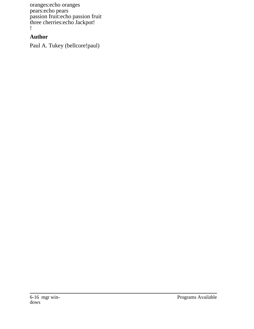oranges:echo oranges pears:echo pears passion fruit:echo passion fruit three cherries:echo Jackpot! !

## **Author**

Paul A. Tukey (bellcore!paul)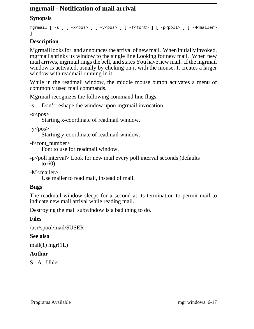# **mgrmail - Notification of mail arrival**

## **Synopsis**

```
mgrmail [ -s ] [ -x<pos> ] [ -y<pos> ] [ -f<font> ] [ -p<poll> ] [ -M<mailer>
]
```
# **Description**

Mgrmail looks for, and announces the arrival of new mail. When initially invoked, mgrmail shrinks its window to the single line Looking for new mail. When new mail arrives, mgrmail rings the bell, and states You have new mail. If the mgrmail window is activated, usually by clicking on it with the mouse, It creates a larger window with readmail running in it.

While in the readmail window, the middle mouse button activates a menu of commonly used mail commands.

Mgrmail recognizes the following command line flags:

-s Don't reshape the window upon mgrmail invocation.

 $-x<$ pos $>$ 

Starting x-coordinate of readmail window.

```
-y<pos>
```
Starting y-coordinate of readmail window.

-f<font\_number>

Font to use for readmail window.

-p<poll interval> Look for new mail every poll interval seconds (defaults to 60).

-M<mailer>

Use mailer to read mail, instead of mail.

## **Bugs**

The readmail window sleeps for a second at its termination to permit mail to indicate new mail arrival while reading mail.

Destroying the mail subwindow is a bad thing to do.

## **Files**

/usr/spool/mail/\$USER

## **See also**

 $mail(1)$  mgr(1L)

## **Author**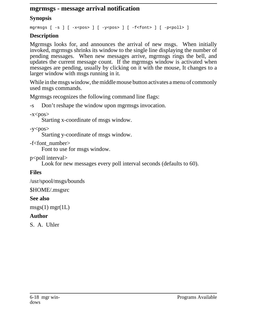## **mgrmsgs - message arrival notification**

# **Synopsis**

mgrmsgs  $[-s]$   $[-x < p < s]$   $[-y < p < s$  ]  $[-f < f < n < s]$   $[-p < p < s]$ 

# **Description**

Mgrmsgs looks for, and announces the arrival of new msgs. When initially invoked, mgrmsgs shrinks its window to the single line displaying the number of pending messages. When new messages arrive, mgrmsgs rings the bell, and updates the current message count. If the mgrmsgs window is activated when messages are pending, usually by clicking on it with the mouse, It changes to a larger window with msgs running in it.

While in the msgs window, the middle mouse button activates a menu of commonly used msgs commands.

Mgrmsgs recognizes the following command line flags:

-s Don't reshape the window upon mgrmsgs invocation.

 $-x<$ pos $>$ 

Starting x-coordinate of msgs window.

 $-y<$ pos $>$ 

Starting y-coordinate of msgs window.

-f<font\_number>

Font to use for msgs window.

p<poll interval>

Look for new messages every poll interval seconds (defaults to 60).

# **Files**

/usr/spool/msgs/bounds

\$HOME/.msgsrc

# **See also**

 $msgs(1)$  mgr(1L)

# **Author**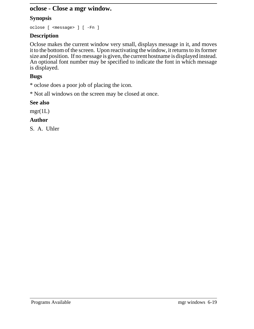## **oclose - Close a mgr window.**

## **Synopsis**

oclose [ <message> ] [ -Fn ]

## **Description**

Oclose makes the current window very small, displays message in it, and moves it to the bottom of the screen. Upon reactivating the window, it returns to its former size and position. If no message is given, the current hostname is displayed instead. An optional font number may be specified to indicate the font in which message is displayed.

# **Bugs**

\* oclose does a poor job of placing the icon.

\* Not all windows on the screen may be closed at once.

## **See also**

 $mgr(1L)$ 

# **Author**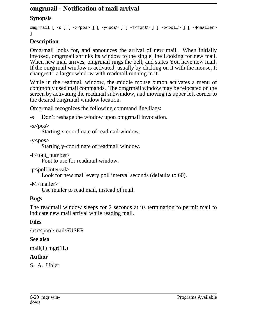# **omgrmail - Notification of mail arrival**

# **Synopsis**

```
omgrmail [ -s ] [ -x<pos> ] [ -y<pos> ] [ -f<font> ] [ -p<poll> ] [ -M<mailer>
]
```
# **Description**

Omgrmail looks for, and announces the arrival of new mail. When initially invoked, omgrmail shrinks its window to the single line Looking for new mail. When new mail arrives, omgrmail rings the bell, and states You have new mail. If the omgrmail window is activated, usually by clicking on it with the mouse, It changes to a larger window with readmail running in it.

While in the readmail window, the middle mouse button activates a menu of commonly used mail commands. The omgrmail window may be relocated on the screen by activating the readmail subwindow, and moving its upper left corner to the desired omgrmail window location.

Omgrmail recognizes the following command line flags:

-s Don't reshape the window upon omgrmail invocation.

```
-x<pos>
```
Starting x-coordinate of readmail window.

```
-y<pos>
```
Starting y-coordinate of readmail window.

-f<font\_number>

Font to use for readmail window.

-p<poll interval>

Look for new mail every poll interval seconds (defaults to 60).

-M<mailer>

Use mailer to read mail, instead of mail.

# **Bugs**

The readmail window sleeps for 2 seconds at its termination to permit mail to indicate new mail arrival while reading mail.

# **Files**

/usr/spool/mail/\$USER

# **See also**

 $mail(1)$  mgr(1L)

# **Author**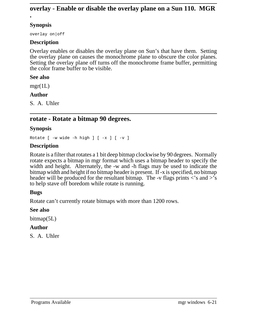### **overlay - Enable or disable the overlay plane on a Sun 110. MGR .**

### **Synopsis**

overlay on|off

### **Description**

Overlay enables or disables the overlay plane on Sun's that have them. Setting the overlay plane on causes the monochrome plane to obscure the color planes. Setting the overlay plane off turns off the monochrome frame buffer, permitting the color frame buffer to be visible.

#### **See also**

 $mgr(1L)$ 

### **Author**

S. A. Uhler

# **rotate - Rotate a bitmap 90 degrees.**

### **Synopsis**

Rotate  $[-w \text{ wide } -h \text{ high } ] [-x ] [-v ]$ 

### **Description**

Rotate is a filter that rotates a 1 bit deep bitmap clockwise by 90 degrees. Normally rotate expects a bitmap in mgr format which uses a bitmap header to specify the width and height. Alternately, the -w and -h flags may be used to indicate the bitmap width and height if no bitmap header is present. If -x is specified, no bitmap header will be produced for the resultant bitmap. The -v flags prints  $\langle$ 's and  $\rangle$ 's to help stave off boredom while rotate is running.

### **Bugs**

Rotate can't currently rotate bitmaps with more than 1200 rows.

### **See also**

bitmap(5L)

### **Author**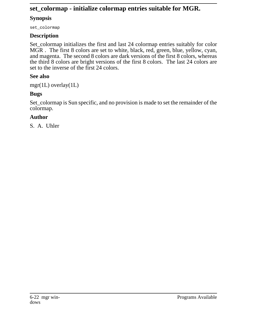# **set\_colormap - initialize colormap entries suitable for MGR.**

# **Synopsis**

set\_colormap

# **Description**

Set\_colormap initializes the first and last 24 colormap entries suitably for color MGR . The first 8 colors are set to white, black, red, green, blue, yellow, cyan, and magenta. The second 8 colors are dark versions of the first 8 colors, whereas the third 8 colors are bright versions of the first 8 colors. The last 24 colors are set to the inverse of the first 24 colors.

# **See also**

mgr(1L) overlay(1L)

# **Bugs**

Set\_colormap is Sun specific, and no provision is made to set the remainder of the colormap.

# **Author**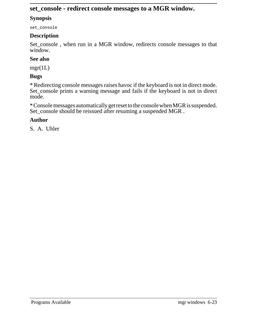# **set\_console - redirect console messages to a MGR window.**

### **Synopsis**

set\_console

## **Description**

Set\_console, when run in a MGR window, redirects console messages to that window.

# **See also**

mgr(1L)

# **Bugs**

\* Redirecting console messages raises havoc if the keyboard is not in direct mode. Set\_console prints a warning message and fails if the keyboard is not in direct mode.

\*Console messages automatically getreset to the consolewhen MGR issuspended. Set\_console should be reissued after resuming a suspended MGR.

# **Author**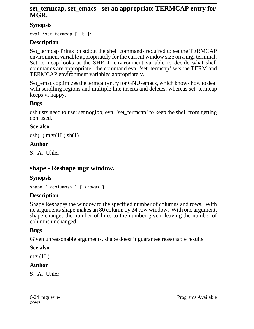# **set\_termcap, set\_emacs - set an appropriate TERMCAP entry for MGR.**

## **Synopsis**

eval 'set\_termcap [ -b ]'

# **Description**

Set termcap Prints on stdout the shell commands required to set the TERMCAP environment variable appropriately for the current window size on a mgr terminal. Set\_termcap looks at the SHELL environment variable to decide what shell commands are appropriate. the command eval 'set termcap' sets the TERM and TERMCAP environment variables appropriately.

Set\_emacs optimizes the termcap entry for GNU-emacs, which knows how to deal with scrolling regions and multiple line inserts and deletes, whereas set\_termcap keeps vi happy.

# **Bugs**

csh usrs need to use: set noglob; eval 'set\_termcap' to keep the shell from getting confused.

## **See also**

 $\operatorname{csh}(1)$  mgr(1L) sh(1)

# **Author**

S. A. Uhler

# **shape - Reshape mgr window.**

# **Synopsis**

shape [ <columns> ] [ <rows> ]

# **Description**

Shape Reshapes the window to the specified number of columns and rows. With no arguments shape makes an 80 column by 24 row window. With one argument, shape changes the number of lines to the number given, leaving the number of columns unchanged.

## **Bugs**

Given unreasonable arguments, shape doesn't guarantee reasonable results

## **See also**

mgr(1L)

# **Author**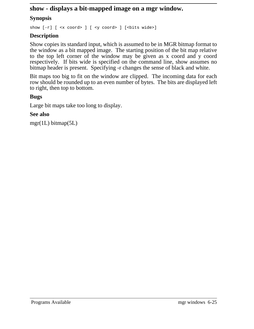# **show - displays a bit-mapped image on a mgr window.**

### **Synopsis**

show  $[-r]$  [  $\langle x \text{ coord} \rangle$  ] [  $\langle y \text{ coord} \rangle$  ] [ $\langle bits \text{ wide} \rangle$ ]

### **Description**

Show copies its standard input, which is assumed to be in MGR bitmap format to the window as a bit mapped image. The starting position of the bit map relative to the top left corner of the window may be given as x coord and y coord respectively. If bits wide is specified on the command line, show assumes no bitmap header is present. Specifying -r changes the sense of black and white.

Bit maps too big to fit on the window are clipped. The incoming data for each row should be rounded up to an even number of bytes. The bits are displayed left to right, then top to bottom.

### **Bugs**

Large bit maps take too long to display.

### **See also**

mgr(1L) bitmap(5L)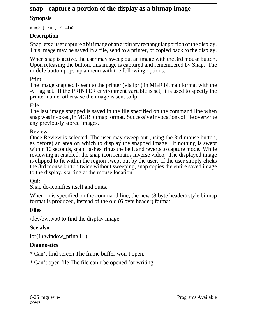# **snap - capture a portion of the display as a bitmap image**

# **Synopsis**

snap [ -n ] <file>

# **Description**

Snap lets a user capture abit image of an arbitrary rectangular portion of the display. This image may be saved in a file, send to a printer, or copied back to the display.

When snap is active, the user may sweep out an image with the 3rd mouse button. Upon releasing the button, this image is captured and remembered by Snap. The middle button pops-up a menu with the following options:

# Print

The image snapped is sent to the printer (via lpr ) in MGR bitmap format with the -v flag set. If the PRINTER environment variable is set, it is used to specify the printer name, otherwise the image is sent to lp .

# File

The last image snapped is saved in the file specified on the command line when snapwas invoked, in MGRbitmap format. Successive invocations of file overwrite any previously stored images.

## Review

Once Review is selected, The user may sweep out (using the 3rd mouse button, as before) an area on which to display the snapped image. If nothing is swept within 10 seconds, snap flashes, rings the bell, and reverts to capture mode. While reviewing in enabled, the snap icon remains inverse video. The displayed image is clipped to fit within the region swept out by the user. If the user simply clicks the 3rd mouse button twice without sweeping, snap copies the entire saved image to the display, starting at the mouse location.

Quit

Snap de-iconifies itself and quits.

When -n is specified on the command line, the new  $(8 \text{ byte header})$  style bitmap format is produced, instead of the old (6 byte header) format.

# **Files**

/dev/bwtwo0 to find the display image.

## **See also**

 $lpr(1)$  window\_print(1L)

# **Diagnostics**

\* Can't find screen The frame buffer won't open.

\* Can't open file The file can't be opened for writing.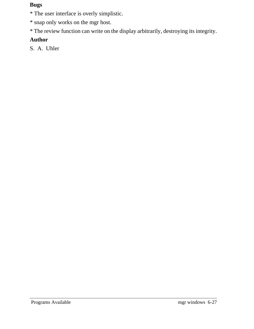### **Bugs**

\* The user interface is overly simplistic.

\* snap only works on the mgr host.

\* The review function can write on the display arbitrarily, destroying its integrity.

# **Author**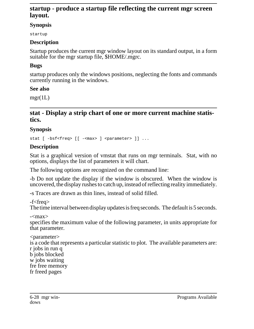# **startup - produce a startup file reflecting the current mgr screen layout.**

### **Synopsis**

startup

# **Description**

Startup produces the current mgr window layout on its standard output, in a form suitable for the mgr startup file, \$HOME/.mgrc.

# **Bugs**

startup produces only the windows positions, neglecting the fonts and commands currently running in the windows.

## **See also**

 $mgr(1L)$ 

# **stat - Display a strip chart of one or more current machine statistics.**

## **Synopsis**

stat [ -bsf<freq> [[ -<max> ] <parameter> ]] ...

# **Description**

Stat is a graphical version of vmstat that runs on mgr terminals. Stat, with no options, displays the list of parameters it will chart.

The following options are recognized on the command line:

-b Do not update the display if the window is obscured. When the window is uncovered, the display rushes to catch up, instead of reflecting reality immediately.

-s Traces are drawn as thin lines, instead of solid filled.

## -f<freq>

The time interval between display updates is freq seconds. The default is 5 seconds.

 $-<$ max $>$ 

specifies the maximum value of the following parameter, in units appropriate for that parameter.

<parameter> is a code that represents a particular statistic to plot. The available parameters are: r jobs in run q b jobs blocked w jobs waiting fre free memory fr freed pages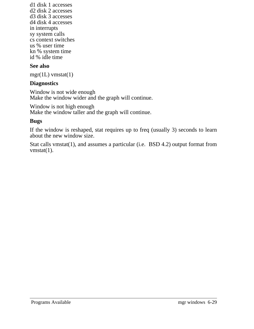d1 disk 1 accesses d2 disk 2 accesses d3 disk 3 accesses d4 disk 4 accesses in interrupts sy system calls cs context switches us % user time kn % system time id % idle time

#### **See also**

 $mgr(1L)$  vmstat $(1)$ 

#### **Diagnostics**

Window is not wide enough Make the window wider and the graph will continue.

Window is not high enough Make the window taller and the graph will continue.

#### **Bugs**

If the window is reshaped, stat requires up to freq (usually 3) seconds to learn about the new window size.

Stat calls vmstat(1), and assumes a particular (i.e. BSD 4.2) output format from vmstat $(1)$ .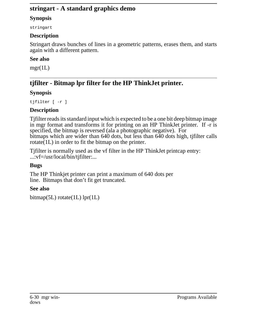# **stringart - A standard graphics demo**

# **Synopsis**

stringart

# **Description**

Stringart draws bunches of lines in a geometric patterns, erases them, and starts again with a different pattern.

# **See also**

 $mgr(1L)$ 

# **tjfilter - Bitmap lpr filter for the HP ThinkJet printer.**

# **Synopsis**

tjfilter [ -r ]

# **Description**

Tjfilter reads its standard input which is expected to be a one bit deep bitmap image in mgr format and transforms it for printing on an HP ThinkJet printer. If -r is specified, the bitmap is reversed (ala a photographic negative). For bitmaps which are wider than 640 dots, but less than 640 dots high, tjfilter calls rotate $(1L)$  in order to fit the bitmap on the printer.

Tjfilter is normally used as the vf filter in the HP ThinkJet printcap entry: ...:vf=/usr/local/bin/tjfilter:...

# **Bugs**

The HP Thinkjet printer can print a maximum of 640 dots per line. Bitmaps that don't fit get truncated.

# **See also**

```
bitmap(5L) rotate(1L) lpr(1L)
```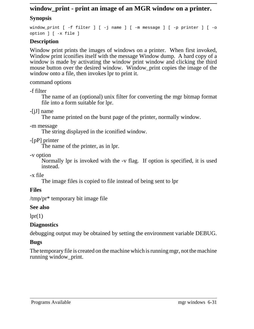# **window\_print - print an image of an MGR window on a printer.**

# **Synopsis**

window\_print [ -f filter ] [ -j name ] [ -m message ] [ -p printer ] [ -o option ] [ -x file ]

# **Description**

Window print prints the images of windows on a printer. When first invoked, Window print iconifies itself with the message Window dump. A hard copy of a window is made by activating the window print window and clicking the third mouse button over the desired window. Window print copies the image of the window onto a file, then invokes lpr to print it.

command options

-f filter

The name of an (optional) unix filter for converting the mgr bitmap format file into a form suitable for lpr.

-[jJ] name

The name printed on the burst page of the printer, normally window.

-m message

The string displayed in the iconified window.

-[pP] printer

The name of the printer, as in lpr.

-v option

Normally lpr is invoked with the -v flag. If option is specified, it is used instead.

-x file

The image files is copied to file instead of being sent to lpr

# **Files**

/tmp/pr\* temporary bit image file

## **See also**

 $lpr(1)$ 

# **Diagnostics**

debugging output may be obtained by setting the environment variable DEBUG.

## **Bugs**

The temporary file is created on the machine which is running mgr, not the machine running window\_print.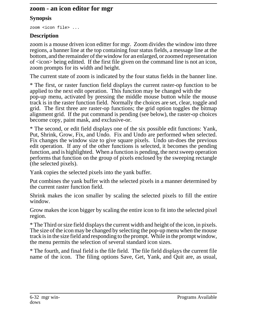### **zoom - an icon editor for mgr**

### **Synopsis**

zoom <icon file> ...

### **Description**

zoom is a mouse driven icon editter for mgr. Zoom divides the window into three regions, a banner line at the top containing four status fields, a message line at the bottom, and the remainder of the window for an enlarged, or zoomed representation of <icon> being editted. If the first file given on the command line is not an icon, zoom prompts for its width and height.

The current state of zoom is indicated by the four status fields in the banner line.

\* The first, or raster function field displays the current raster-op function to be applied to the next edit operation. This function may be changed with the pop-up menu, activated by pressing the middle mouse button while the mouse track is in the raster function field. Normally the choices are set, clear, toggle and grid. The first three are raster-op functions; the grid option toggles the bitmap alignment grid. If the put command is pending (see below), the raster-op choices become copy, paint mask, and exclusive-or.

\* The second, or edit field displays one of the six possible edit functions: Yank, Put, Shrink, Grow, Fix, and Undo. Fix and Undo are performed when selected. Fix changes the window size to give square pixels. Undo un-does the previous edit operation. If any of the other functions is selected, it becomes the pending function, and is highlighted. When a function is pending, the next sweep operation performs that function on the group of pixels enclosed by the sweeping rectangle (the selected pixels).

Yank copies the selected pixels into the yank buffer.

Put combines the yank buffer with the selected pixels in a manner determined by the current raster function field.

Shrink makes the icon smaller by scaling the selected pixels to fill the entire window.

Grow makes the icon bigger by scaling the entire icon to fit into the selected pixel region.

\* The Third or size field displays the current width and height of the icon, in pixels. The size of the icon may be changed by selecting the pop-up menu when the mouse track is in the size field and responding to the prompt. While in the prompt window, the menu permits the selection of several standard icon sizes.

\* The fourth, and final field is the file field. The file field displays the current file name of the icon. The filing options Save, Get, Yank, and Quit are, as usual,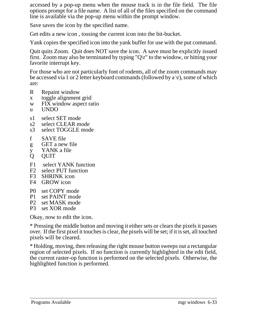accessed by a pop-up menu when the mouse track is in the file field. The file options prompt for a file name. A list of all of the files specified on the command line is available via the pop-up menu within the prompt window.

Save saves the icon by the specified name.

Get edits a new icon , tossing the current icon into the bit-bucket.

Yank copies the specified icon into the yank buffer for use with the put command.

Quit quits Zoom. Quit does NOT save the icon. A save must be explicitly issued first. Zoom may also be terminated by typing "Q\r" to the window, or hitting your favorite interrupt key.

For those who are not particularly font of rodents, all of the zoom commands may be accessed via 1 or 2 letter keyboard commands (followed by a  $\vert r \vert$ ), some of which are:

- R Repaint window
- x toggle alignment grid
- w FIX window aspect ratio
- u UNDO
- s1 select SET mode
- s2 select CLEAR mode
- s3 select TOGGLE mode
- f SAVE file
- g GET a new file
- y YANK a file<br>O OUIT
- **OUIT**
- F1 select YANK function
- F2 select PUT function<br>F3 SHRINK icon
- SHRINK icon
- F4 GROW icon
- P0 set COPY mode<br>P1 set PAINT mode
- set PAINT mode
- P2 set MASK mode<br>P3 set XOR mode
- set XOR mode

Okay, now to edit the icon.

\* Pressing the middle button and moving it either sets or clears the pixels it passes over. If the first pixel it touches is clear, the pixels will be set; if it is set, all touched pixels will be cleared.

\* Holding, moving, then releasing the right mouse button sweeps out a rectangular region of selected pixels. If no function is currently highlighted in the edit field, the current raster-op function is performed on the selected pixels. Otherwise, the highlighted function is performed.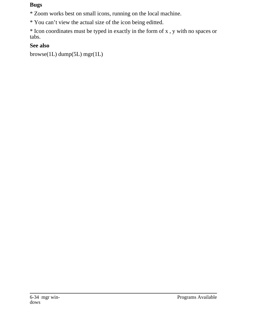### **Bugs**

\* Zoom works best on small icons, running on the local machine.

\* You can't view the actual size of the icon being editted.

\* Icon coordinates must be typed in exactly in the form of x , y with no spaces or tabs.

# **See also**

browse(1L) dump(5L) mgr(1L)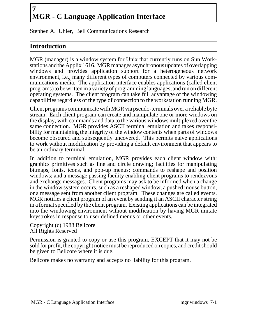# **7 MGR - C Language Application Interface**

Stephen A. Uhler, Bell Communications Research

# **Introduction**

MGR (manager) is a window system for Unix that currently runs on Sun Workstations and the Applix 1616. MGR manages asynchronous updates of overlapping windows and provides application support for a heterogeneous network environment, i.e., many different types of computers connected by various communications media. The application interface enables applications (called client programs)to be written in a variety of programming languages, and run on different operating systems. The client program can take full advantage of the windowing capabilities regardless of the type of connection to the workstation running MGR.

Client programs communicate with MGR via pseudo-terminals over a reliable byte stream. Each client program can create and manipulate one or more windows on the display, with commands and data to the various windows multiplexed over the same connection. MGR provides ASCII terminal emulation and takes responsibility for maintaining the integrity of the window contents when parts of windows become obscured and subsequently uncovered. This permits naive applications to work without modification by providing a default environment that appears to be an ordinary terminal.

In addition to terminal emulation, MGR provides each client window with: graphics primitives such as line and circle drawing; facilities for manipulating bitmaps, fonts, icons, and pop-up menus; commands to reshape and position windows; and a message passing facility enabling client programs to rendezvous and exchange messages. Client programs may ask to be informed when a change in the window system occurs, such as a reshaped window, a pushed mouse button, or a message sent from another client program. These changes are called events. MGR notifies a client program of an event by sending it an ASCII character string in a format specified by the client program. Existing applications can be integrated into the windowing environment without modification by having MGR imitate keystrokes in response to user defined menus or other events.

Copyright (c) 1988 Bellcore All Rights Reserved

Permission is granted to copy or use this program, EXCEPT that it may not be sold for profit, the copyright notice must be reproduced on copies, and credit should be given to Bellcore where it is due.

Bellcore makes no warranty and accepts no liability for this program.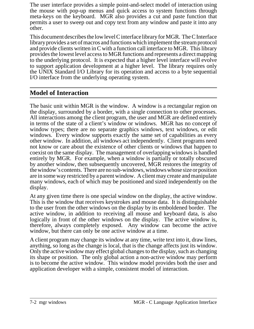The user interface provides a simple point-and-select model of interaction using the mouse with pop-up menus and quick access to system functions through meta-keys on the keyboard. MGR also provides a cut and paste function that permits a user to sweep out and copy text from any window and paste it into any other.

This document describes the low level C interface library for MGR. The C Interface library provides a set of macros and functions which implement the stream protocol and provide clients written in C with a function call interface to MGR. This library provides the lowest level access to MGR functions and represents a direct mapping to the underlying protocol. It is expected that a higher level interface will evolve to support application development at a higher level. The library requires only the UNIX Standard I/O Library for its operation and access to a byte sequential I/O interface from the underlying operating system.

# **Model of Interaction**

The basic unit within MGR is the window. A window is a rectangular region on the display, surrounded by a border, with a single connection to other processes. All interactions among the client program, the user and MGR are defined entirely in terms of the state of a client's window or windows. MGR has no concept of window types; there are no separate graphics windows, text windows, or edit windows. Every window supports exactly the same set of capabilities as every other window. In addition, all windows act independently. Client programs need not know or care about the existence of other clients or windows that happen to coexist on the same display. The management of overlapping windows is handled entirely by MGR. For example, when a window is partially or totally obscured by another window, then subsequently uncovered, MGR restores the integrity of thewindow's contents. There are no sub-windows, windows whose size or position are in some way restricted by a parent window. A client may create and manipulate many windows, each of which may be positioned and sized independently on the display.

At any given time there is one special window on the display, the active window. This is the window that receives keystrokes and mouse data. It is distinguishable to the user from the other windows on the display by its emboldened border. The active window, in addition to receiving all mouse and keyboard data, is also logically in front of the other windows on the display. The active window is, therefore, always completely exposed. Any window can become the active window, but there can only be one active window at a time.

A client program may change its window at any time, write text into it, draw lines, anything, so long as the change is local, that is the change affects just its window. Only the active window may effect global changes to the display, such as changing its shape or position. The only global action a non-active window may perform is to become the active window. This window model provides both the user and application developer with a simple, consistent model of interaction.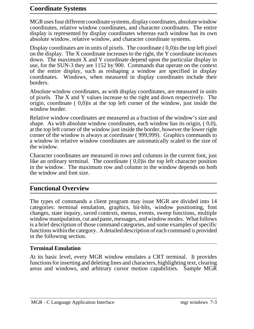# **Coordinate Systems**

MGR uses four different coordinate systems, display coordinates, absolute window coordinates, relative window coordinates, and character coordinates. The entire display is represented by display coordinates whereas each window has its own absolute window, relative window, and character coordinate systems.

Display coordinates are in units of pixels. The coordinate  $(0,0)$  is the top left pixel on the display. The X coordinate increases to the right, the Y coordinate increases down. The maximum X and Y coordinate depend upon the particular display in use, for the SUN-3 they are 1152 by 900. Commands that operate on the context of the entire display, such as reshaping a window are specified in display coordinates. Windows, when measured in display coordinates include their borders.

Absolute window coordinates, as with display coordinates, are measured in units of pixels. The X and Y values increase to the right and down respectively. The origin, coordinate ( 0,0)is at the top left corner of the window, just inside the window border.

Relative window coordinates are measured as a fraction of the window's size and shape. As with absolute window coordinates, each window has its origin, ( 0,0), at the top left corner of the window just inside the border, however the lower right corner of the window is always at coordinate ( 999,999). Graphics commands to a window in relative window coordinates are automatically scaled to the size of the window.

Character coordinates are measured in rows and columns in the current font, just like an ordinary terminal. The coordinate  $(0,0)$  is the top left character position in the window. The maximum row and column in the window depends on both the window and font size.

## **Functional Overview**

The types of commands a client program may issue MGR are divided into 14 categories: terminal emulation, graphics, bit-blts, window positioning, font changes, state inquiry, saved contexts, menus, events, sweep functions, multiple window manipulation, cut and paste, messages, and window modes. What follows is a brief description of those command categories, and some examples of specific functions within the category. A detailed description of each command is provided in the following section.

#### **Terminal Emulation**

At its basic level, every MGR window emulates a CRT terminal. It provides functions for inserting and deleting lines and characters, highlighting text, clearing areas and windows, and arbitrary cursor motion capabilities. Sample MGR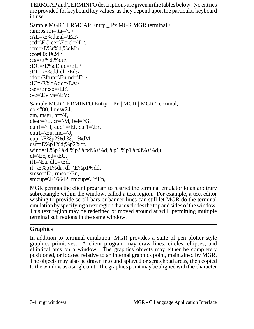TERMCAP and TERMINFO descriptions are given in the tables below. No entries are provided for keyboard key values, as they depend upon the particular keyboard in use.

```
Sample MGR TERMCAP Entry _ Px MGR MGR terminal:\
:am:bs:im=:ta=\text{I:}\setminus:AL=\E\otimes da: al=\Ea::cd=\EC:ce=\Ec:cl=^L:\
:cm=\E%r%d,%dM:\
:co#80:li#24:\
:cs=\E\%d,%dt:\
:DC=\E\setminus dE:dc=\EE:\:DL=\E%dd:dl=\Ed:\
:do=\Ef:up=\Eu:nd=\Er:\
:IC=\E%dA:ic=\EA:\
:se=\En:so=\Ei:\
:ve=\Eve:vs=\Eve:
Sample MGR TERMINFO Entry _ Px | MGR | MGR Terminal,
cols#80, lines#24,
am, msgr, ht="1,
clear={}^{\wedge}L, cr={}^{\wedge}M, bel={}^{\wedge}G,
cub1=\text{H}, cud1=\Ef, cuf1=\Er,
cuu1=\text{Eu}, ind=\text{v}J,
cup=E\%p2\%d;%p1%dM,
\text{csr}=\E\%p1\%d;%p2%dt,
wind=\E%p2%d;%p2%p4%+%d;%p1;%p1%p3%+%d;t,
el=\&c, ed=\&C,il1=\text{Eq}, dl1=\text{Ed},
il=\E%p1%da, dl=\E%p1%dd,
smso=\E i, rmso=\E n,
smcup=\E1664P, rmcup=\E1\E.
```
MGR permits the client program to restrict the terminal emulator to an arbitrary subrectangle within the window, called a text region. For example, a text editor wishing to provide scroll bars or banner lines can still let MGR do the terminal emulation by specifying a text region that excludes the top and sides of the window. This text region may be redefined or moved around at will, permitting multiple terminal sub regions in the same window.

# **Graphics**

In addition to terminal emulation, MGR provides a suite of pen plotter style graphics primitives. A client program may draw lines, circles, ellipses, and elliptical arcs on a window. The graphics objects may either be completely positioned, or located relative to an internal graphics point, maintained by MGR. The objects may also be drawn into undisplayed or scratchpad areas, then copied to the window as a single unit. The graphics point may be aligned with the character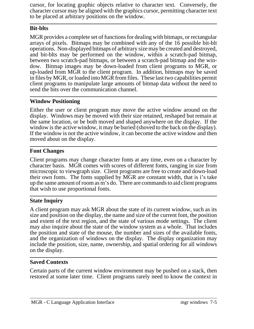cursor, for locating graphic objects relative to character text. Conversely, the character cursor may be aligned with the graphics cursor, permitting character text to be placed at arbitrary positions on the window.

# **Bit-blts**

MGR provides a complete set of functions for dealing with bitmaps, or rectangular arrays of pixels. Bitmaps may be combined with any of the 16 possible bit-blt operations. Non-displayed bitmaps of arbitrary size may be created and destroyed, and bit-blts may be performed on the window, within a scratch-pad bitmap, between two scratch-pad bitmaps, or between a scratch-pad bitmap and the window. Bitmap images may be down-loaded from client programs to MGR, or up-loaded from MGR to the client program. In addition, bitmaps may be saved in files by MGR, or loaded into MGR from files. These last two capabilities permit client programs to manipulate large amounts of bitmap data without the need to send the bits over the communication channel.

### **Window Positioning**

Either the user or client program may move the active window around on the display. Windows may be moved with their size retained, reshaped but remain at the same location, or be both moved and shaped anywhere on the display. If the window is the active window, it may be buried (shoved to the back on the display). If the window is not the active window, it can become the active window and then moved about on the display.

## **Font Changes**

Client programs may change character fonts at any time, even on a character by character basis. MGR comes with scores of different fonts, ranging in size from microscopic to viewgraph size. Client programs are free to create and down-load their own fonts. The fonts supplied by MGR are constant width, that is i's take up the same amount of room as m's do. There are commands to aid client programs that wish to use proportional fonts.

# **State Inquiry**

A client program may ask MGR about the state of its current window, such as its size and position on the display, the name and size of the current font, the position and extent of the text region, and the state of various mode settings. The client may also inquire about the state of the window system as a whole. That includes the position and state of the mouse, the number and sizes of the available fonts, and the organization of windows on the display. The display organization may include the position, size, name, ownership, and spatial ordering for all windows on the display.

### **Saved Contexts**

Certain parts of the current window environment may be pushed on a stack, then restored at some later time. Client programs rarely need to know the context in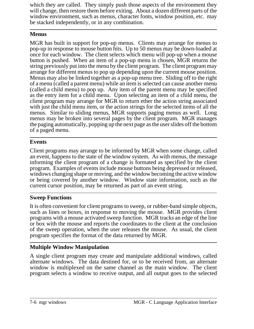which they are called. They simply push those aspects of the environment they will change, then restore them before exiting. About a dozen different parts of the window environment, such as menus, character fonts, window position, etc. may be stacked independently, or in any combination.

### **Menus**

MGR has built in support for pop-up menus. Clients may arrange for menus to pop-up in response to mouse button hits. Up to 50 menus may be down-loaded at once for each window. The client selects which menu will pop-up when a mouse button is pushed. When an item of a pop-up menu is chosen, MGR returns the string previously put into the menu by the client program. The client program may arrange for different menus to pop up depending upon the current mouse position. Menus may also be linked together as a pop-up menu tree. Sliding off to the right of a menu (called a parent menu) while an item is selected can cause another menu (called a child menu) to pop up. Any item of the parent menu may be specified as the entry item for a child menu. Upon selecting an item of a child menu, the client program may arrange for MGR to return ether the action string associated with just the child menu item, or the action strings for the selected items of all the menus. Similar to sliding menus, MGR supports paging menus as well. Long menus may be broken into several pages by the client program. MGR manages the paging automatically, popping up the next page as the user slides off the bottom of a paged menu.

## **Events**

Client programs may arrange to be informed by MGR when some change, called an event, happens to the state of the window system. As with menus, the message informing the client program of a change is formated as specified by the client program. Examples of events include mouse buttons being depressed or released, windows changing shape or moving, and the window becoming the active window or being covered by another window. Window state information, such as the current cursor position, may be returned as part of an event string.

## **Sweep Functions**

It is often convenient for client programs to sweep, or rubber-band simple objects, such as lines or boxes, in response to moving the mouse. MGR provides client programs with a mouse activated sweep function. MGR tracks an edge of the line or box with the mouse and reports the coordinates to the client at the conclusion of the sweep operation, when the user releases the mouse. As usual, the client program specifies the format of the data returned by MGR.

# **Multiple Window Manipulation**

A single client program may create and manipulate additional windows, called alternate windows. The data destined for, or to be received from, an alternate window is multiplexed on the same channel as the main window. The client program selects a window to receive output, and all output goes to the selected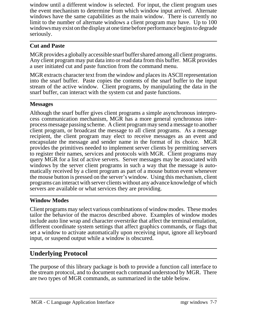window until a different window is selected. For input, the client program uses the event mechanism to determine from which window input arrived. Alternate windows have the same capabilities as the main window. There is currently no limit to the number of alternate windows a client program may have. Up to 100 windows may exist on the display at one time before performance begins to degrade seriously.

### **Cut and Paste**

MGR provides a globally accessible snarf buffer shared among all client programs. Any client program may put data into or read data from this buffer. MGR provides a user initiated cut and paste function from the command menu.

MGR extracts character text from the window and places its ASCII representation into the snarf buffer. Paste copies the contents of the snarf buffer to the input stream of the active window. Client programs, by manipulating the data in the snarf buffer, can interact with the system cut and paste functions.

### **Messages**

Although the snarf buffer gives client programs a simple asynchronous interprocess communication mechanism, MGR has a more general synchronous interprocess message passing scheme. A client program may send a message to another client program, or broadcast the message to all client programs. As a message recipient, the client program may elect to receive messages as an event and encapsulate the message and sender name in the format of its choice. MGR provides the primitives needed to implement server clients by permitting servers to register their names, services and protocols with MGR. Client programs may query MGR for a list of active servers. Server messages may be associated with windows by the server client programs in such a way that the message is automatically received by a client program as part of a mouse button event whenever the mouse button is pressed on the server's window. Using this mechanism, client programs can interact with server clients without any advance knowledge of which servers are available or what services they are providing.

### **Window Modes**

Client programs may select various combinations of window modes. These modes tailor the behavior of the macros described above. Examples of window modes include auto line wrap and character overstrike that affect the terminal emulation, different coordinate system settings that affect graphics commands, or flags that set a window to activate automatically upon receiving input, ignore all keyboard input, or suspend output while a window is obscured.

# **Underlying Protocol**

The purpose of this library package is both to provide a function call interface to the stream protocol, and to document each command understood by MGR. There are two types of MGR commands, as summarized in the table below.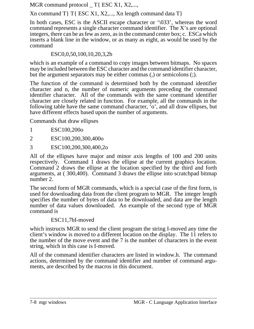MGR command protocol T{ ESC X1, X2,...,

 $Xn$  command T T{ ESC X1, X2,..., Xn length command data T}

In both cases, ESC is the ASCII escape character or '\033', whereas the word command represents a single character command identifier. The X's are optional integers, there can be as few as zero, as in the command center box; c. ESCa which inserts a blank line in the window, or as many as eight, as would be used by the command

ESC0,0,50,100,10,20,3,2b

which is an example of a command to copy images between bitmaps. No spaces may be included between the ESC character and the command identifier character, but the argument separators may be either commas (,) or semicolons (;).

The function of the command is determined both by the command identifier character and n, the number of numeric arguments preceding the command identifier character. All of the commands with the same command identifier character are closely related in function. For example, all the commands in the following table have the same command character, 'o', and all draw ellipses, but have different effects based upon the number of arguments.

Commands that draw ellipses

- 1 ESC100,200o
- 2 ESC100,200,300,400o
- 3 ESC100,200,300,400,2o

All of the ellipses have major and minor axis lengths of 100 and 200 units respectively. Command 1 draws the ellipse at the current graphics location. Command 2 draws the ellipse at the location specified by the third and forth arguments, at ( 300,400). Command 3 draws the ellipse into scratchpad bitmap number 2.

The second form of MGR commands, which is a special case of the first form, is used for downloading data from the client program to MGR. The integer length specifies the number of bytes of data to be downloaded, and data are the length number of data values downloaded. An example of the second type of MGR command is

### ESC11,7bI-moved

which instructs MGR to send the client program the string I-moved any time the client's window is moved to a different location on the display. The 11 refers to the number of the move event and the 7 is the number of characters in the event string, which in this case is I-moved.

All of the command identifier characters are listed in window.h. The command actions, determined by the command identifier and number of command arguments, are described by the macros in this document.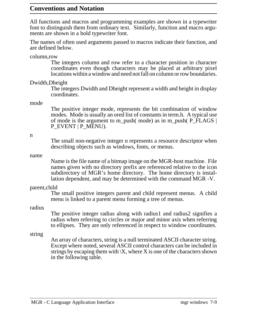### **Conventions and Notation**

All functions and macros and programming examples are shown in a typewriter font to distinguish them from ordinary text. Similarly, function and macro arguments are shown in a bold typewriter font.

The names of often used arguments passed to macros indicate their function, and are defined below.

column,row

The integers column and row refer to a character position in character coordinates even though characters may be placed at arbitrary pixel locations within a window and need not fall on column or row boundaries.

#### Dwidth,Dheight

The integers Dwidth and Dheight represent a width and height in display coordinates.

#### mode

The positive integer mode, represents the bit combination of window modes. Mode is usually an ored list of constants in term.h. A typical use of mode is the argument to m\_push( mode) as in m\_push( P\_FLAGS | P\_EVENT | P\_MENU).

#### n

The small non-negative integer n represents a resource descriptor when describing objects such as windows, fonts, or menus.

#### name

Name is the file name of a bitmap image on the MGR-host machine. File names given with no directory prefix are referenced relative to the icon subdirectory of MGR's home directory. The home directory is installation dependent, and may be determined with the command MGR -V.

#### parent,child

The small positive integers parent and child represent menus. A child menu is linked to a parent menu forming a tree of menus.

#### radius

The positive integer radius along with radius1 and radius2 signifies a radius when referring to circles or major and minor axis when referring to ellipses. They are only referenced in respect to window coordinates.

#### string

An array of characters, string is a null terminated ASCII character string. Except where noted, several ASCII control characters can be included in strings by escaping them with  $X$ , where X is one of the characters shown in the following table.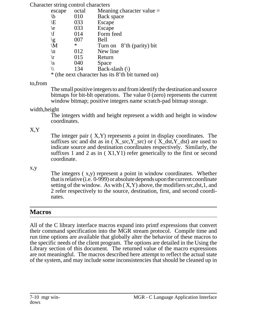Character string control characters

| escape                                               | octal  | Meaning character value $=$ |
|------------------------------------------------------|--------|-----------------------------|
| $\setminus b$                                        | 010    | Back space                  |
| \E                                                   | 033    | Escape                      |
| $\backslash$ e                                       | 033    | Escape                      |
| $\setminus f$                                        | 014    | Form feed                   |
| $\backslash$ g                                       | 007    | Bell                        |
| $\mathcal{M}$                                        | $\ast$ | Turn on 8'th (parity) bit   |
| $\ln$                                                | 012    | New line                    |
| $\sqrt{r}$                                           | 015    | Return                      |
| \S                                                   | 040    | Space                       |
|                                                      | 134    | Back-slash $(\rangle)$      |
| ∗<br>(the next character has its 8'th bit turned on) |        |                             |

#### to,from

The small positive integers to and from identify the destination and source bitmaps for bit-blt operations. The value 0 (zero) represents the current window bitmap; positive integers name scratch-pad bitmap storage.

## width,height

The integers width and height represent a width and height in window coordinates.

# X,Y

The integer pair  $(X, Y)$  represents a point in display coordinates. The suffixes src and dst as in ( $X$ \_src, $Y$ \_src) or ( $X$ \_dst, $Y$ \_dst) are used to indicate source and destination coordinates respectively. Similarly, the suffixes 1 and 2 as in ( X1,Y1) refer generically to the first or second coordinate.

### x,y

The integers ( x,y) represent a point in window coordinates. Whether that is relative (i.e. 0-999) or absolute depends upon the current coordinate setting of the window. As with  $(X, Y)$  above, the modifiers src,dst, 1, and 2 refer respectively to the source, destination, first, and second coordinates.

# **Macros**

All of the C library interface macros expand into printf expressions that convert their command specification into the MGR stream protocol. Compile time and run time options are available that globally alter the behavior of these macros to the specific needs of the client program. The options are detailed in the Using the Library section of this document. The returned value of the macro expressions are not meaningful. The macros described here attempt to reflect the actual state of the system, and may include some inconsistencies that should be cleaned up in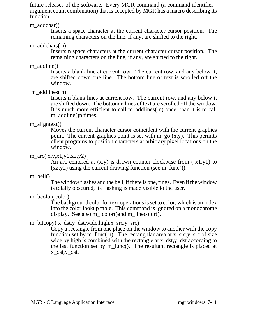future releases of the software. Every MGR command (a command identifier argument count combination) that is accepted by MGR has a macro describing its function.

m\_addchar()

Inserts a space character at the current character cursor position. The remaining characters on the line, if any, are shifted to the right.

m addchars(n)

Inserts n space characters at the current character cursor position. The remaining characters on the line, if any, are shifted to the right.

### m\_addline()

Inserts a blank line at current row. The current row, and any below it, are shifted down one line. The bottom line of text is scrolled off the window.

### m addlines(n)

Inserts n blank lines at current row. The current row, and any below it are shifted down. The bottom n lines of text are scrolled off the window. It is much more efficient to call m\_addlines( n) once, than it is to call m addline()n times.

### m aligntext()

Moves the current character cursor coincident with the current graphics point. The current graphics point is set with  $m_g$  (x,y). This permits client programs to position characters at arbitrary pixel locations on the window.

### m\_arc( $x,y,x1,y1,x2,y2$ )

An arc centered at  $(x,y)$  is drawn counter clockwise from  $(x1,y1)$  to  $(x2,y2)$  using the current drawing function (see m\_func()).

### m bell()

The window flashes and the bell, if there is one, rings. Even if the window is totally obscured, its flashing is made visible to the user.

## m\_bcolor( color)

The background color for text operations is set to color, which is an index into the color lookup table. This command is ignored on a monochrome display. See also m\_fcolor()and m\_linecolor().

## m\_bitcopy( x\_dst,y\_dst,wide,high,x\_src,y\_src)

Copy a rectangle from one place on the window to another with the copy function set by m\_func( n). The rectangular area at  $x\_src, y\_src$  of size wide by high is combined with the rectangle at x\_dst,y\_dst according to the last function set by m\_func(). The resultant rectangle is placed at x\_dst,y\_dst.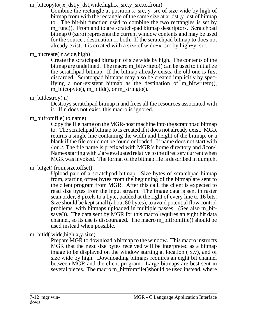m\_bitcopyto( x\_dst,y\_dst,wide,high,x\_src,y\_src,to,from)

Combine the rectangle at position x\_src, y\_src of size wide by high of bitmap from with the rectangle of the same size at x\_dst ,y\_dst of bitmap to. The bit-blt function used to combine the two rectangles is set by m func(). From and to are scratch-pad bitmap descriptors. Scratchpad bitmap 0 (zero) represents the current window contents and may be used for the source , destination or both. If the scratchpad bitmap to does not already exist, it is created with a size of wide+x\_src by high+y\_src.

### m\_bitcreate( n,wide,high)

Create the scratchpad bitmap n of size wide by high. The contents of the bitmap are undefined. The macro m\_bitwriteto() can be used to initialize the scratchpad bitmap. If the bitmap already exists, the old one is first discarded. Scratchpad bitmaps may also be created implicitly by specifying a non-existent bitmap as the destination of m\_bitwriteto(), m\_bitcopyto(), m\_bitld(), or m\_stringto().

## m\_bitdestroy( n)

Destroys scratchpad bitmap n and frees all the resources associated with it. If n does not exist, this macro is ignored.

# m\_bitfromfile( to, name)

Copy the file name on the MGR-host machine into the scratchpad bitmap to. The scratchpad bitmap to is created if it does not already exist. MGR returns a single line containing the width and height of the bitmap, or a blank if the file could not be found or loaded. If name does not start with / or ./, The file name is prefixed with MGR's home directory and /icon/. Names starting with ./ are evaluated relative to the directory current when MGR was invoked. The format of the bitmap file is described in dump.h.

# m\_bitget( from, size, offset)

Upload part of a scratchpad bitmap. Size bytes of scratchpad bitmap from, starting offset bytes from the beginning of the bitmap are sent to the client program from MGR. After this call, the client is expected to read size bytes from the input stream. The image data is sent in raster scan order, 8 pixels to a byte, padded at the right of every line to 16 bits. Size should be kept small (about 80 bytes), to avoid potential flow control problems, with bitmaps uploaded in multiple passes. (See also m\_bitsave()). The data sent by MGR for this macro requires an eight bit data channel, so its use is discouraged. The macro m\_bitfromfile() should be used instead when possible.

## m\_bitld( wide,high,x,y,size)

Prepare MGR to download a bitmap to the window. This macro instructs MGR that the next size bytes received will be interpreted as a bitmap image to be displayed on the window starting at location ( x,y), and of size wide by high. Downloading bitmaps requires an eight bit channel between MGR and the client program. Large bitmaps are best sent in several pieces. The macro m\_bitfromfile()should be used instead, where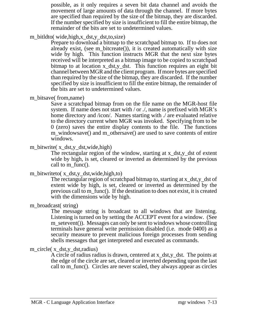possible, as it only requires a seven bit data channel and avoids the movement of large amounts of data through the channel. If more bytes are specified than required by the size of the bitmap, they are discarded. If the number specified by size is insufficient to fill the entire bitmap, the remainder of the bits are set to undetermined values.

m\_bitldto( wide,high,x\_dst,y\_dst,to,size)

Prepare to download a bitmap to the scratchpad bitmap to. If to does not already exist, (see m\_bitcreate()), it is created automatically with size wide by high. This function instructs MGR that the next size bytes received will be interpreted as a bitmap image to be copied to scratchpad bitmap to at location x\_dst,y\_dst. This function requires an eight bit channel between MGR and the client program. If more bytes are specified than required by the size of the bitmap, they are discarded. If the number specified by size is insufficient to fill the entire bitmap, the remainder of the bits are set to undetermined values.

m\_bitsave( from, name)

Save a scratchpad bitmap from on the file name on the MGR-host file system. If name does not start with / or ./, name is prefixed with MGR's home directory and /icon/. Names starting with ./ are evaluated relative to the directory current when MGR was invoked. Specifying from to be 0 (zero) saves the entire display contents to the file. The functions m\_windowsave() and m\_othersave() are used to save contents of entire windows.

m\_bitwrite( x\_dst,y\_dst,wide,high)

The rectangular region of the window, starting at x\_dst,y\_dst of extent wide by high, is set, cleared or inverted as determined by the previous call to m\_func().

## m\_bitwriteto( x\_dst,y\_dst,wide,high,to)

The rectangular region of scratchpad bitmap to, starting at x\_dst,y\_dst of extent wide by high, is set, cleared or inverted as determined by the previous call to m\_func(). If the destination to does not exist, it is created with the dimensions wide by high.

m\_broadcast( string)

The message string is broadcast to all windows that are listening. Listening is turned on by setting the ACCEPT event for a window. (See m\_setevent()). Messages can only be sent to windows whose controlling terminals have general write permission disabled (i.e. mode 0400) as a security measure to prevent malicious foreign processes from sending shells messages that get interpreted and executed as commands.

## m\_circle( x\_dst,y\_dst,radius)

A circle of radius radius is drawn, centered at x\_dst,y\_dst. The points at the edge of the circle are set, cleared or inverted depending upon the last call to m\_func(). Circles are never scaled, they always appear as circles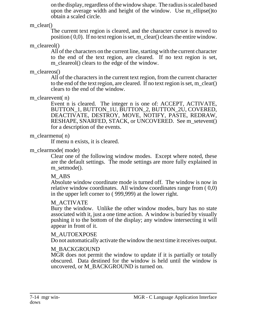on the display, regardless of the window shape. The radius is scaled based upon the average width and height of the window. Use m ellipse()to obtain a scaled circle.

m\_clear()

The current text region is cleared, and the character cursor is moved to position  $(0,0)$ . If no text region is set, m\_clear() clears the entire window.

m\_cleareol()

All of the characters on the current line, starting with the current character to the end of the text region, are cleared. If no text region is set, m cleareol() clears to the edge of the window.

### m cleareos()

All of the characters in the current text region, from the current character to the end of the text region, are cleared. If no text region is set, m\_clear() clears to the end of the window.

### m\_clearevent(n)

Event n is cleared. The integer n is one of: ACCEPT, ACTIVATE, BUTTON\_1, BUTTON\_1U, BUTTON\_2, BUTTON\_2U, COVERED, DEACTIVATE, DESTROY, MOVE, NOTIFY, PASTE, REDRAW, RESHAPE, SNARFED, STACK, or UNCOVERED. See m\_setevent() for a description of the events.

### m\_clearmenu(n)

If menu n exists, it is cleared.

### m\_clearmode( mode)

Clear one of the following window modes. Except where noted, these are the default settings. The mode settings are more fully explained in m\_setmode().

## M\_ABS

Absolute window coordinate mode is turned off. The window is now in relative window coordinates. All window coordinates range from ( 0,0) in the upper left corner to ( 999,999) at the lower right.

## M\_ACTIVATE

Bury the window. Unlike the other window modes, bury has no state associated with it, just a one time action. A window is buried by visually pushing it to the bottom of the display; any window intersecting it will appear in front of it.

## M\_AUTOEXPOSE

Do not automatically activate the window the next time it receives output.

## M\_BACKGROUND

MGR does not permit the window to update if it is partially or totally obscured. Data destined for the window is held until the window is uncovered, or M\_BACKGROUND is turned on.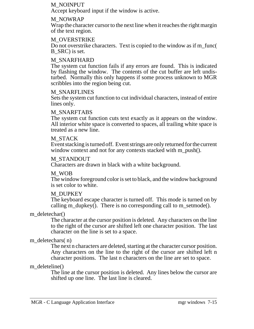#### M\_NOINPUT

Accept keyboard input if the window is active.

#### M\_NOWRAP

Wrap the character cursor to the next line when it reaches the right margin of the text region.

#### M\_OVERSTRIKE

Do not overstrike characters. Text is copied to the window as if m\_func( B SRC) is set.

#### M\_SNARFHARD

The system cut function fails if any errors are found. This is indicated by flashing the window. The contents of the cut buffer are left undisturbed. Normally this only happens if some process unknown to MGR scribbles into the region being cut.

#### M\_SNARFLINES

Sets the system cut function to cut individual characters, instead of entire lines only.

#### M\_SNARFTABS

The system cut function cuts text exactly as it appears on the window. All interior white space is converted to spaces, all trailing white space is treated as a new line.

#### M\_STACK

Eventstacking is turnedoff. Event strings are only returned for the current window context and not for any contexts stacked with m\_push().

#### M\_STANDOUT

Characters are drawn in black with a white background.

#### M\_WOB

The window foreground color is set to black, and the window background is set color to white.

#### M\_DUPKEY

The keyboard escape character is turned off. This mode is turned on by calling m\_dupkey(). There is no corresponding call to m\_setmode().

#### m\_deletechar()

The character at the cursor position is deleted. Any characters on the line to the right of the cursor are shifted left one character position. The last character on the line is set to a space.

#### m\_deletechars(n)

The next n characters are deleted, starting at the character cursor position. Any characters on the line to the right of the cursor are shifted left n character positions. The last n characters on the line are set to space.

#### m\_deleteline()

The line at the cursor position is deleted. Any lines below the cursor are shifted up one line. The last line is cleared.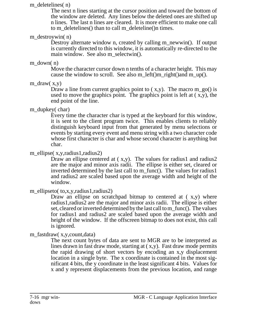#### m deletelines(n)

The next n lines starting at the cursor position and toward the bottom of the window are deleted. Any lines below the deleted ones are shifted up n lines. The last n lines are cleared. It is more efficient to make one call to m\_deletelines() than to call m\_deleteline()n times.

#### m\_destroywin( n)

Destroy alternate window n, created by calling m\_newwin(). If output is currently directed to this window, it is automatically re-directed to the main window. See also m\_selectwin().

#### m\_down( n)

Move the character cursor down n tenths of a character height. This may cause the window to scroll. See also m\_left()m\_right()and m\_up().

### m\_draw( x,y)

Draw a line from current graphics point to  $(x,y)$ . The macro m\_go() is used to move the graphics point. The graphics point is left at  $(x,y)$ , the end point of the line.

### m\_dupkey( char)

Every time the character char is typed at the keyboard for this window, it is sent to the client program twice. This enables clients to reliably distinguish keyboard input from that generated by menu selections or events by starting every event and menu string with a two character code whose first character is char and whose second character is anything but char.

### m\_ellipse(x,y,radius1,radius2)

Draw an ellipse centered at  $(x,y)$ . The values for radius1 and radius2 are the major and minor axis radii. The ellipse is either set, cleared or inverted determined by the last call to m\_func(). The values for radius1 and radius2 are scaled based upon the average width and height of the window.

### m\_ellipseto( to,x,y,radius1,radius2)

Draw an ellipse on scratchpad bitmap to centered at  $(x,y)$  where radius1,radius2 are the major and minor axis radii. The ellipse is either set, cleared or inverted determined by the last call to m\_func(). The values for radius1 and radius2 are scaled based upon the average width and height of the window. If the offscreen bitmap to does not exist, this call is ignored.

## m\_fastdraw( x,y,count,data)

The next count bytes of data are sent to MGR are to be interpreted as lines drawn in fast draw mode, starting at ( x,y). Fast draw mode permits the rapid drawing of short vectors by encoding an x,y displacement location in a single byte. The x coordinate is contained in the most significant 4 bits, the y coordinate in the least significant 4 bits. Values for x and y represent displacements from the previous location, and range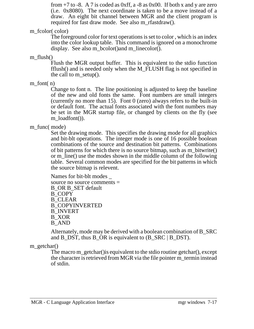from  $+7$  to  $-8$ . A 7 is coded as 0xff, a  $-8$  as 0x00. If both x and y are zero (i.e. 0x8080). The next coordinate is taken to be a move instead of a draw. An eight bit channel between MGR and the client program is required for fast draw mode. See also m\_rfastdraw().

m\_fcolor( color)

The foreground color for text operations is set to color , which is an index into the color lookup table. This command is ignored on a monochrome display. See also m\_bcolor()and m\_linecolor().

m  $flush()$ 

Flush the MGR output buffer. This is equivalent to the stdio function fflush() and is needed only when the M\_FLUSH flag is not specified in the call to m\_setup().

m\_font $(n)$ 

Change to font n. The line positioning is adjusted to keep the baseline of the new and old fonts the same. Font numbers are small integers (currently no more than 15). Font  $0$  (zero) always refers to the built-in or default font. The actual fonts associated with the font numbers may be set in the MGR startup file, or changed by clients on the fly (see m\_loadfont()).

## m\_func( mode)

Set the drawing mode. This specifies the drawing mode for all graphics and bit-blt operations. The integer mode is one of 16 possible boolean combinations of the source and destination bit patterns. Combinations of bit patterns for which there is no source bitmap, such as m\_bitwrite() or m  $\overline{\text{line}}$  use the modes shown in the middle column of the following table. Several common modes are specified for the bit patterns in which the source bitmap is relevent.

Names for bit-blt modes \_ source no source comments = B\_OR B\_SET default B\_COPY B\_CLEAR B\_COPYINVERTED B\_INVERT B\_XOR B\_AND

Alternately, mode may be derived with a boolean combination of B\_SRC and B\_DST, thus B\_OR is equivalent to  $(B\_SRC \mid B\_DST)$ .

## m\_getchar()

The macro m\_getchar()is equivalent to the stdio routine getchar(), except the character is retrieved from MGR via the file pointer m\_termin instead of stdin.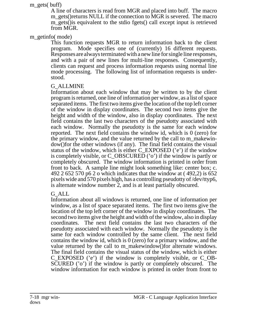#### m\_gets( buff)

A line of characters is read from MGR and placed into buff. The macro m gets() returns NULL if the connection to MGR is severed. The macro m\_gets()is equivalent to the stdio fgets() call except input is retrieved from MGR.

#### m getinfo(mode)

This function requests MGR to return information back to the client program. Mode specifies one of (currently) 16 different requests. Responses are always terminated with a new line for single line responses, and with a pair of new lines for multi-line responses. Consequently, clients can request and process information requests using normal line mode processing. The following list of information requests is understood.

#### G\_ALLMINE

Information about each window that may be written to by the client program is returned, one line of information per window, as a list of space separated items. The first two items give the location of the top left corner of the window in display coordinates. The second two items give the height and width of the window, also in display coordinates. The next field contains the last two characters of the pseudotty associated with each window. Normally the pseudotty is the same for each window reported. The next field contains the window id, which is 0 (zero) for the primary window, and the value returned by the call to m\_makewindow()for the other windows (if any). The final field contains the visual status of the window, which is either C\_EXPOSED ('e') if the window is completely visible, or C\_OBSCURED ('o') if the window is partly or completely obscured. The window information is printed in order from front to back. A sample line might look something like: center box; c. 492 2 652 570 p6 2 o which indicates that the window at ( 492,2) is 652 pixels wide and 570 pixels high, has a controlling pseudotty of /dev/ttyp6, is alternate window number 2, and is at least partially obscured.

## G\_ALL

Information about all windows is returned, one line of information per window, as a list of space separated items. The first two items give the location of the top left corner of the window in display coordinates. The second two items give the height and width of the window, also in display coordinates. The next field contains the last two characters of the pseudotty associated with each window. Normally the pseudotty is the same for each window controlled by the same client. The next field contains the window id, which is 0 (zero) for a primary window, and the value returned by the call to m\_makewindow()for alternate windows. The final field contains the visual status of the window, which is either C\_EXPOSED ('e') if the window is completely visible, or C\_OB-SCURED ('o') if the window is partly or completely obscured. The window information for each window is printed in order from front to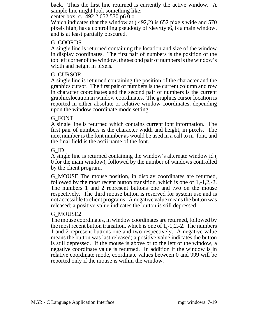back. Thus the first line returned is currently the active window. A sample line might look something like:

center box; c. 492 2 652 570 p6 0 o

Which indicates that the window at ( 492,2) is 652 pixels wide and 570 pixels high, has a controlling pseudotty of /dev/ttyp6, is a main window, and is at least partially obscured.

## G\_COORDS

A single line is returned containing the location and size of the window in display coordinates. The first pair of numbers is the position of the top left corner of the window, the second pair of numbers is the window's width and height in pixels.

## G\_CURSOR

A single line is returned containing the position of the character and the graphics cursor. The first pair of numbers is the current column and row in character coordinates and the second pair of numbers is the current graphicslocation in window coordinates. The graphics cursor location is reported in either absolute or relative window coordinates, depending upon the window coordinate mode setting.

## G\_FONT

A single line is returned which contains current font information. The first pair of numbers is the character width and height, in pixels. The next number is the font number as would be used in a call to m\_font, and the final field is the ascii name of the font.

## G\_ID

A single line is returned containing the window's alternate window id ( 0 for the main window), followed by the number of windows controlled by the client program.

G\_MOUSE The mouse position, in display coordinates are returned, followed by the most recent button transition, which is one of 1,-1,2,-2. The numbers 1 and 2 represent buttons one and two on the mouse respectively. The third mouse button is reserved for system use and is not accessible to client programs. A negative value means the button was released; a positive value indicates the button is still depressed.

## G\_MOUSE2

The mouse coordinates, in window coordinates are returned, followed by the most recent button transition, which is one of 1,-1,2,-2. The numbers 1 and 2 represent buttons one and two respectively. A negative value means the button was last released; a positive value indicates the button is still depressed. If the mouse is above or to the left of the window, a negative coordinate value is returned. In addition if the window is in relative coordinate mode, coordinate values between 0 and 999 will be reported only if the mouse is within the window.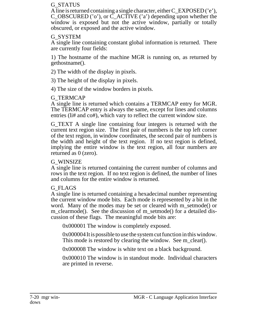#### G\_STATUS

A line is returned containing a single character, either C\_EXPOSED ('e'), C\_OBSCURED ('o'), or C\_ACTIVE ('a') depending upon whether the window is exposed but not the active window, partially or totally obscured, or exposed and the active window.

## G\_SYSTEM

A single line containing constant global information is returned. There are currently four fields:

1) The hostname of the machine MGR is running on, as returned by gethostname().

2) The width of the display in pixels.

3) The height of the display in pixels.

4) The size of the window borders in pixels.

# G\_TERMCAP

A single line is returned which contains a TERMCAP entry for MGR. The TERMCAP entry is always the same, except for lines and columns entries (li# and co#), which vary to reflect the current window size.

G\_TEXT A single line containing four integers is returned with the current text region size. The first pair of numbers is the top left corner of the text region, in window coordinates, the second pair of numbers is the width and height of the text region. If no text region is defined, implying the entire window is the text region, all four numbers are returned as 0 (zero).

# G\_WINSIZE

A single line is returned containing the current number of columns and rows in the text region. If no text region is defined, the number of lines and columns for the entire window is returned.

# G\_FLAGS

A single line is returned containing a hexadecimal number representing the current window mode bits. Each mode is represented by a bit in the word. Many of the modes may be set or cleared with m\_setmode() or m\_clearmode(). See the discussion of m\_setmode() for a detailed discussion of these flags. The meaningful mode bits are:

0x000001 The window is completely exposed.

0x000004 It is possible to use the system cut function in this window. This mode is restored by clearing the window. See m\_clear().

0x000008 The window is white text on a black background.

0x000010 The window is in standout mode. Individual characters are printed in reverse.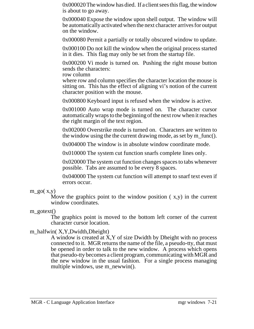0x000020 The window has died. If a client sees this flag, the window is about to go away.

0x000040 Expose the window upon shell output. The window will be automatically activated when the next character arrives for output on the window.

0x000080 Permit a partially or totally obscured window to update.

0x000100 Do not kill the window when the original process started in it dies. This flag may only be set from the startup file.

0x000200 Vi mode is turned on. Pushing the right mouse button sends the characters:

row column

where row and column specifies the character location the mouse is sitting on. This has the effect of aligning vi's notion of the current character position with the mouse.

0x000800 Keyboard input is refused when the window is active.

0x001000 Auto wrap mode is turned on. The character cursor automatically wraps to the beginning of the next row when it reaches the right margin of the text region.

0x002000 Overstrike mode is turned on. Characters are written to the window using the the current drawing mode, as set by m\_func().

0x004000 The window is in absolute window coordinate mode.

0x010000 The system cut function snarfs complete lines only.

0x020000 The system cut function changes spaces to tabs whenever possible. Tabs are assumed to be every 8 spaces.

0x040000 The system cut function will attempt to snarf text even if errors occur.

Move the graphics point to the window position  $(x,y)$  in the current window coordinates.

m\_gotext()

The graphics point is moved to the bottom left corner of the current character cursor location.

## m\_halfwin( X, Y,Dwidth,Dheight)

A window is created at X,Y of size Dwidth by Dheight with no process connected to it. MGR returns the name of the file, a pseudo-tty, that must be opened in order to talk to the new window. A process which opens that pseudo-tty becomes a client program, communicating with MGR and the new window in the usual fashion. For a single process managing multiple windows, use m\_newwin().

 $m_{.}g$ o( x,y)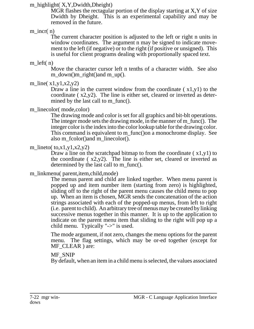## m\_highlight( X, Y,Dwidth,Dheight)

MGR flashes the rectagular portion of the display starting at X,Y of size Dwidth by Dheight. This is an experimental capability and may be removed in the future.

# $m$  incr( $n$ )

The current character position is adjusted to the left or right n units in window coordinates. The argument n may be signed to indicate movement to the left (if negative) or to the right (if positive or unsigned). This is useful for client programs dealing with proportionally spaced text.

## m\_left(n)

Move the character cursor left n tenths of a character width. See also m\_down()m\_right()and m\_up().

m\_line( $x1,y1,x2,y2$ )

Draw a line in the current window from the coordinate  $(x1,y1)$  to the coordinate ( x2,y2). The line is either set, cleared or inverted as determined by the last call to m\_func().

# m\_linecolor( mode,color)

The drawing mode and color is set for all graphics and bit-blt operations. The integer mode sets the drawing mode, in the manner of m\_func(). The integer color is the index into the color lookup table for the drawing color. This command is equivalent to m\_func()on a monochrome display. See also m\_fcolor()and m\_linecolor().

# m\_lineto( $\text{to,x1,y1,x2,y2}$ )

Draw a line on the scratchpad bitmap to from the coordinate  $(x1,y1)$  to the coordinate  $(x2,y2)$ . The line is either set, cleared or inverted as determined by the last call to m\_func().

# m\_linkmenu( parent,item,child,mode)

The menus parent and child are linked together. When menu parent is popped up and item number item (starting from zero) is highlighted, sliding off to the right of the parent menu causes the child menu to pop up. When an item is chosen, MGR sends the concatenation of the action strings associated with each of the popped-up menus, from left to right (i.e. parent to child). An arbitrary tree of menus may be created by linking successive menus together in this manner. It is up to the application to indicate on the parent menu item that sliding to the right will pop up a child menu. Typically "->" is used.

The mode argument, if not zero, changes the menu options for the parent menu. The flag settings, which may be or-ed together (except for MF\_CLEAR ) are:

# MF\_SNIP

By default, when an item in a child menu is selected, the values associated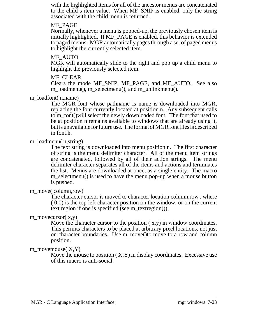with the highlighted items for all of the ancestor menus are concatenated to the child's item value. When MF\_SNIP is enabled, only the string associated with the child menu is returned.

#### MF\_PAGE

Normally, whenever a menu is popped-up, the previously chosen item is initially highlighted. If MF\_PAGE is enabled, this behavior is extended to paged menus. MGR automatically pages through a set of paged menus to highlight the currently selected item.

## MF\_AUTO

MGR will automatically slide to the right and pop up a child menu to highlight the previously selected item.

## MF\_CLEAR

Clears the mode MF\_SNIP, MF\_PAGE, and MF\_AUTO. See also m\_loadmenu(), m\_selectmenu(), and m\_unlinkmenu().

m\_loadfont( n,name)

The MGR font whose pathname is name is downloaded into MGR, replacing the font currently located at position n. Any subsequent calls to m\_font()will select the newly downloaded font. The font that used to be at position n remains available to windows that are already using it, but is unavailable for future use. The format of MGR font files is described in font.h.

## m\_loadmenu( n,string)

The text string is downloaded into menu position n. The first character of string is the menu delimiter character. All of the menu item strings are concatenated, followed by all of their action strings. The menu delimiter character separates all of the items and actions and terminates the list. Menus are downloaded at once, as a single entity. The macro m\_selectmenu() is used to have the menu pop-up when a mouse button is pushed.

## m\_move( column,row)

The character cursor is moved to character location column,row , where ( 0,0) is the top left character position on the window, or on the current text region if one is specified (see m\_textregion()).

## m\_movecursor $(x,y)$

Move the character cursor to the position  $(x,y)$  in window coordinates. This permits characters to be placed at arbitrary pixel locations, not just on character boundaries. Use m\_move()to move to a row and column position.

## m\_movemouse $(X, Y)$

Move the mouse to position  $(X, Y)$  in display coordinates. Excessive use of this macro is anti-social.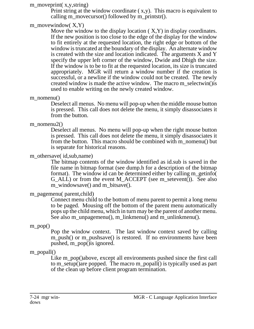## m\_moveprint( x,y,string)

Print string at the window coordinate  $(x,y)$ . This macro is equivalent to calling m\_movecursor() followed by m\_printstr().

## m\_movewindow $(X, Y)$

Move the window to the display location  $(X, Y)$  in display coordinates. If the new position is too close to the edge of the display for the window to fit entirely at the requested location, the right edge or bottom of the window is truncated at the boundary of the display. An alternate window is created with the size and location indicated. The arguments X and Y specify the upper left corner of the window, Dwide and Dhigh the size. If the window is to be to fit at the requested location, its size is truncated appropriately. MGR will return a window number if the creation is successful, or a newline if the window could not be created. The newly created window is made the active window. The macro m\_selectwin()is used to enable writing on the newly created window.

## m\_nomenu()

Deselect all menus. No menu will pop-up when the middle mouse button is pressed. This call does not delete the menu, it simply disassociates it from the button.

## m\_nomenu2()

Deselect all menus. No menu will pop-up when the right mouse button is pressed. This call does not delete the menu, it simply disassociates it from the button. This macro should be combined with m\_nomenu() but is separate for historical reasons.

## m\_othersave( id, sub, name)

The bitmap contents of the window identified as id.sub is saved in the file name in bitmap format (see dump.h for a description of the bitmap format). The window id can be determined either by calling m\_getinfo( G\_ALL) or from the event M\_ACCEPT (see m\_setevent()). See also m\_windowsave() and m\_bitsave().

## m\_pagemenu( parent,child)

Connect menu child to the bottom of menu parent to permit a long menu to be paged. Mousing off the bottom of the parent menu automatically pops up the child menu, which in turn may be the parent of another menu. See also m\_unpagemenu(), m\_linkmenu() and m\_unlinkmenu().

## m\_pop()

Pop the window context. The last window context saved by calling m\_push() or m\_pushsave() is restored. If no environments have been pushed, m\_pop()is ignored.

# m\_popall()

Like m\_pop()above, except all environments pushed since the first call to m\_setup()are popped. The macro m\_popall() is typically used as part of the clean up before client program termination.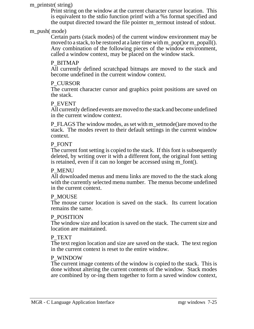#### m\_printstr( string)

Print string on the window at the current character cursor location. This is equivalent to the stdio function printf with a %s format specified and the output directed toward the file pointer m\_termout instead of stdout.

## m\_push( mode)

Certain parts (stack modes) of the current window environment may be moved to a stack, to be restored at a later time with m\_pop()or m\_popall(). Any combination of the following pieces of the window environment, called a window context, may be placed on the window stack.

## P\_BITMAP

All currently defined scratchpad bitmaps are moved to the stack and become undefined in the current window context.

## P\_CURSOR

The current character cursor and graphics point positions are saved on the stack.

## P\_EVENT

All currently defined events are moved to the stack and become undefined in the current window context.

P\_FLAGS The window modes, as set with m\_setmode()are moved to the stack. The modes revert to their default settings in the current window context.

#### P\_FONT

The current font setting is copied to the stack. If this font is subsequently deleted, by writing over it with a different font, the original font setting is retained, even if it can no longer be accessed using m\_font().

## P\_MENU

All downloaded menus and menu links are moved to the the stack along with the currently selected menu number. The menus become undefined in the current context.

#### P\_MOUSE

The mouse cursor location is saved on the stack. Its current location remains the same.

#### P\_POSITION

The window size and location is saved on the stack. The current size and location are maintained.

#### P\_TEXT

The text region location and size are saved on the stack. The text region in the current context is reset to the entire window.

#### P\_WINDOW

The current image contents of the window is copied to the stack. This is done without altering the current contents of the window. Stack modes are combined by or-ing them together to form a saved window context,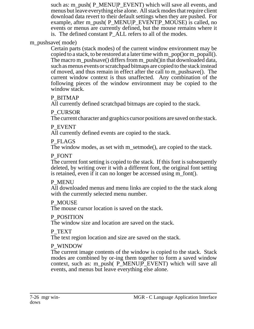such as: m\_push( P\_MENU|P\_EVENT) which will save all events, and menus but leave everything else alone. All stack modes that require client download data revert to their default settings when they are pushed. For example, after m\_push( P\_MENU|P\_EVENT|P\_MOUSE) is called, no events or menus are currently defined, but the mouse remains where it is. The defined constant P\_ALL refers to all of the modes.

## m\_pushsave( mode)

Certain parts (stack modes) of the current window environment may be copied to a stack, to be restored at a later time with m\_pop()or m\_popall(). The macro m\_pushsave() differs from m\_push()in that downloaded data, such as menus events or scratchpad bitmaps are copied to the stack instead of moved, and thus remain in effect after the call to m\_pushsave(). The current window context is thus unaffected. Any combination of the following pieces of the window environment may be copied to the window stack.

## P\_BITMAP

All currently defined scratchpad bitmaps are copied to the stack.

## P\_CURSOR

The current character and graphics cursor positions are saved on the stack.

## P\_EVENT

All currently defined events are copied to the stack.

## P\_FLAGS

The window modes, as set with m\_setmode(), are copied to the stack.

## P\_FONT

The current font setting is copied to the stack. If this font is subsequently deleted, by writing over it with a different font, the original font setting is retained, even if it can no longer be accessed using m\_font().

## P\_MENU

All downloaded menus and menu links are copied to the the stack along with the currently selected menu number.

## P\_MOUSE

The mouse cursor location is saved on the stack.

## P\_POSITION

The window size and location are saved on the stack.

## P\_TEXT

The text region location and size are saved on the stack.

# P\_WINDOW

The current image contents of the window is copied to the stack. Stack modes are combined by or-ing them together to form a saved window context, such as: m\_push( P\_MENU|P\_EVENT) which will save all events, and menus but leave everything else alone.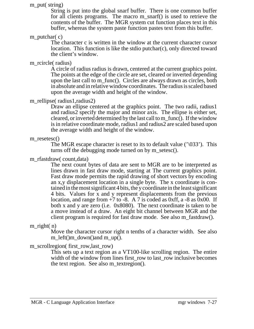#### m\_put( string)

String is put into the global snarf buffer. There is one common buffer for all clients programs. The macro m\_snarf() is used to retrieve the contents of the buffer. The MGR system cut function places text in this buffer, whereas the system paste function pastes text from this buffer.

## m\_putchar( c)

The character c is written in the window at the current character cursor location. This function is like the stdio putchar(c), only directed toward the client's window.

## m\_rcircle( radius)

A circle of radius radius is drawn, centered at the current graphics point. The points at the edge of the circle are set, cleared or inverted depending upon the last call to m\_func(). Circles are always drawn as circles, both in absolute and in relative window coordinates. The radius is scaled based upon the average width and height of the window.

## m\_rellipse( radius1,radius2)

Draw an ellipse centered at the graphics point. The two radii, radius1 and radius2 specify the major and minor axis. The ellipse is either set, cleared, or inverted determined by the last call to m\_func(). If the window is in relative coordinate mode, radius1 and radius2 are scaled based upon the average width and height of the window.

#### m\_resetesc()

The MGR escape character is reset to its to default value  $(\sqrt{033})$ . This turns off the debugging mode turned on by m\_setesc().

## m\_rfastdraw( count,data)

The next count bytes of data are sent to MGR are to be interpreted as lines drawn in fast draw mode, starting at The current graphics point. Fast draw mode permits the rapid drawing of short vectors by encoding an x,y displacement location in a single byte. The x coordinate is contained in the most significant 4 bits, the y coordinate in the least significant 4 bits. Values for x and y represent displacements from the previous location, and range from  $+7$  to  $-8$ . A 7 is coded as 0xff, a  $-8$  as 0x00. If both x and y are zero (i.e. 0x8080). The next coordinate is taken to be a move instead of a draw. An eight bit channel between MGR and the client program is required for fast draw mode. See also m\_fastdraw().

## m\_right( n)

Move the character cursor right n tenths of a character width. See also m\_left()m\_down()and m\_up().

## m\_scrollregion( first\_row,last\_row)

This sets up a text region as a VT100-like scrolling region. The entire width of the window from lines first\_row to last\_row inclusive becomes the text region. See also m\_textregion().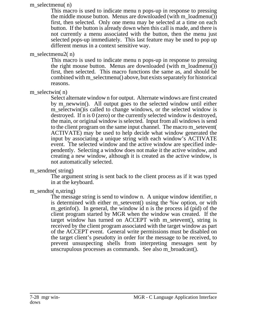#### m\_selectmenu( n)

This macro is used to indicate menu n pops-up in response to pressing the middle mouse button. Menus are downloaded (with m\_loadmenu()) first, then selected. Only one menu may be selected at a time on each button. If the button is already down when this call is made, and there is not currently a menu associated with the button, then the menu just selected pops-up immediately. This last feature may be used to pop up different menus in a context sensitive way.

## m\_selectmenu2( n)

This macro is used to indicate menu n pops-up in response to pressing the right mouse button. Menus are downloaded (with m\_loadmenu()) first, then selected. This macro functions the same as, and should be combined with m\_selectmenu() above, but exists separately for historical reasons.

## m selectwin(n)

Select alternate window n for output. Alternate windows are first created by m\_newwin(). All output goes to the selected window until either m selectwin() is called to change windows, or the selected window is destroyed. If n is 0 (zero) or the currently selected window is destroyed, the main, or original window is selected. Input from all windows is send to the client program on the same input channel. The macro m\_setevent( ACTIVATE) may be used to help decide what window generated the input by associating a unique string with each window's ACTIVATE event. The selected window and the active window are specified independently. Selecting a window does not make it the active window, and creating a new window, although it is created as the active window, is not automatically selected.

## m\_sendme( string)

The argument string is sent back to the client process as if it was typed in at the keyboard.

## m sendto( n, string)

The message string is send to window n. A unique window identifier, n is determined with either m\_setevent() using the %w option, or with m getinfo(). In general, the window id n is the process id (pid) of the client program started by MGR when the window was created. If the target window has turned on ACCEPT with m\_setevent(), string is received by the client program associated with the target window as part of the ACCEPT event. General write permissions must be disabled on the target client's pseudotty in order for the message to be received, to prevent unsuspecting shells from interpreting messages sent by unscrupulous processes as commands. See also m\_broadcast().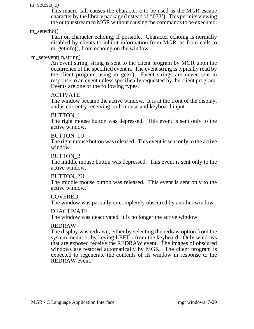#### m setesc $(c)$

This macro call causes the character c to be used as the MGR escape character by the library package (instead of '\033'). This permits viewing the output stream to MGR without causing the commands to be executed.

m\_setecho()

Turn on character echoing, if possible. Character echoing is normally disabled by clients to inhibit information from MGR, as from calls to m\_getinfo(), from echoing on the window.

## m\_setevent( n,string)

An event string, string is sent to the client program by MGR upon the occurrence of the specified event n. The event string is typically read by the client program using m\_gets(). Event strings are never sent in response to an event unless specifically requested by the client program. Events are one of the following types.

## ACTIVATE

The window became the active window. It is at the front of the display, and is currently receiving both mouse and keyboard input.

## BUTTON\_1

The right mouse button was depressed. This event is sent only to the active window.

## BUTTON\_1U

The right mouse button was released. This event is sent only to the active window.

## BUTTON\_2

The middle mouse button was depressed. This event is sent only to the active window.

## BUTTON\_2U

The middle mouse button was released. This event is sent only to the active window.

## COVERED

The window was partially or completely obscured by another window.

## DEACTIVATE

The window was deactivated, it is no longer the active window.

## REDRAW

The display was redrawn, either by selecting the redraw option from the system menu, or by keying LEFT-r from the keyboard. Only windows that are exposed receive the REDRAW event. The images of obscured windows are restored automatically by MGR. The client program is expected to regenerate the contents of its window in response to the REDRAW event.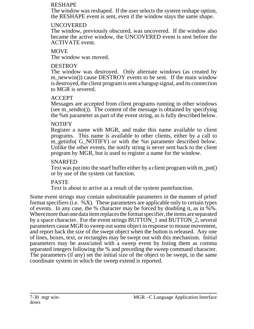#### RESHAPE

The window was reshaped. If the user selects the system reshape option, the RESHAPE event is sent, even if the window stays the same shape.

## UNCOVERED

The window, previously obscured, was uncovered. If the window also became the active window, the UNCOVERED event is sent before the ACTIVATE event.

## **MOVE**

The window was moved.

# **DESTROY**

The window was destroyed. Only alternate windows (as created by m\_newwin()) cause DESTROY events to be sent. If the main window is destroyed, the client program is sent a hangup signal, and its connection to MGR is severed.

# ACCEPT

Messages are accepted from client programs running in other windows (see m\_sendto()). The content of the message is obtained by specifying the %m parameter as part of the event string, as is fully described below.

# NOTIFY

Register a name with MGR, and make this name available to client programs. This name is available to other clients, either by a call to m\_getinfo( G\_NOTIFY) or with the %n parameter described below. Unlike the other events, the notify string is never sent back to the client program by MGR, but is used to register a name for the window.

## SNARFED

Text was put into the snarf buffer either by a client program with m\_put() or by use of the system cut function.

# PASTE

Text is about to arrive as a result of the system pastefunction.

Some event strings may contain substitutable parameters in the manner of printf format specifiers (i.e.  $\%X$ ). These parameters are applicable only to certain types of events. In any case, the % character may be forced by doubling it, as in  $\sqrt[6]{8}$ . Where more than one data item replaces the format specifier, the items are separated by a space character. For the event strings BUTTON 1 and BUTTON 2, several parameters cause MGR to sweep out some object in response to mouse movement, and report back the size of the swept object when the button is released. Any one of lines, boxes, text, or rectangles may be swept out with this mechanism. Initial parameters may be associated with a sweep event by listing them as comma separated integers following the % and preceding the sweep command character. The parameters (if any) set the initial size of the object to be swept, in the same coordinate system in which the sweep extend is reported.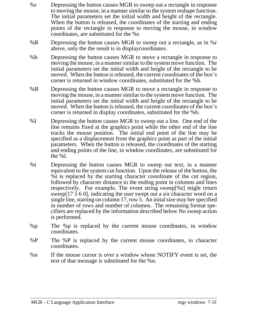- %r Depressing the button causes MGR to sweep out a rectangle in response to moving the mouse, in a manner similar to the system reshape function. The initial parameters set the initial width and height of the rectangle. When the button is released, the coordinates of the starting and ending points of the rectangle in response to moving the mouse, in window coordinates, are substituted for the %r.
- %R Depressing the button causes MGR to sweep out a rectangle, as in %r above, only the the result is in displaycoordinates.
- %b Depressing the button causes MGR to move a rectangle in response to moving the mouse, in a manner similar to the system move function. The initial parameters set the initial width and height of the rectangle to be moved. When the button is released, the current coordinates of the box's corner is returned in window coordinates, substituted for the %b.
- %B Depressing the button causes MGR to move a rectangle in response to moving the mouse, in a manner similar to the system move function. The initial parameters set the initial width and height of the rectangle to be moved. When the button is released, the current coordinates of the box's corner is returned in display coordinates, substituted for the %b.
- %l Depressing the button causes MGR to sweep out a line. One end of the line remains fixed at the graphics point while the other end of the line tracks the mouse position. The initial end point of the line may be specified as a displacement from the graphics point as part of the initial parameters. When the button is released, the coordinates of the starting and ending points of the line, in window coordinates, are substituted for the %l.
- %t Depressing the button causes MGR to sweep out text, in a manner equivalent to the system cut function. Upon the release of the button, the %t is replaced by the starting character coordinate of the cut region, followed by character distance to the ending point in columns and lines respectively. For example, The event string sweep[%t] might return sweep[17 5 6 0], indicating the user swept out a six character word on a single line, starting on column 17, row 5. An inital size may ber specified in number of rows and number of columns. The remaining format specifiers are replaced by the information described below No sweep action is performed.
- %p The %p is replaced by the current mouse coordinates, in window coordinates.
- %P The %P is replaced by the current mouse coordinates, in character coordinates.
- %n If the mouse cursor is over a window whose NOTIFY event is set, the text of that message is substituted for the %n.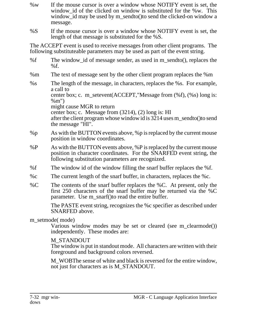- %w If the mouse cursor is over a window whose NOTIFY event is set, the window id of the clicked on window is substituted for the %w. This window id may be used by m\_sendto()to send the clicked-on window a message.
- %S If the mouse cursor is over a window whose NOTIFY event is set, the length of that message is substituted for the %S.

The ACCEPT event is used to receive messages from other client programs. The following substituteable parameters may be used as part of the event string.

- %f The window\_id of message sender, as used in m\_sendto(), replaces the  $%f.$
- %m The text of message sent by the other client program replaces the %m
- %s The length of the message, in characters, replaces the %s. For example, a call to center box; c. m\_setevent(ACCEPT,"Message from (%f), (%s) long is: %m") might cause MGR to return center box; c. Message from (3214), (2) long is: HI after the client program whose window id is 3214 uses m\_sendto()to send the message "HI".
- %p As with the BUTTON events above, %p is replaced by the current mouse position in window coordinates.
- %P As with the BUTTON events above, %P is replaced by the current mouse position in character coordinates. For the SNARFED event string, the following substitution parameters are recognized.
- %f The window id of the window filling the snarf buffer replaces the %f.
- %c The current length of the snarf buffer, in characters, replaces the %c.
- %C The contents of the snarf buffer replaces the %C. At present, only the first 250 characters of the snarf buffer may be returned via the %C parameter. Use m\_snarf()to read the entire buffer.

The PASTE event string, recognizes the %c specifier as described under SNARFED above.

## m\_setmode( mode)

Various window modes may be set or cleared (see m\_clearmode()) independently. These modes are:

# M\_STANDOUT

The window is put in standout mode. All characters are written with their foreground and background colors reversed.

M\_WOBThe sense of white and black is reversed for the entire window, not just for characters as is M\_STANDOUT.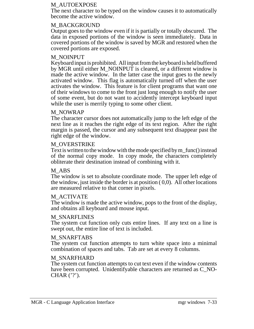#### M\_AUTOEXPOSE

The next character to be typed on the window causes it to automatically become the active window.

#### M\_BACKGROUND

Output goes to the window even if it is partially or totally obscured. The data in exposed portions of the window is seen immediately. Data in covered portions of the window is saved by MGR and restored when the covered portions are exposed.

## M\_NOINPUT

Keyboardinput isprohibited. All inputfrom the keyboard is held buffered by MGR until either M\_NOINPUT is cleared, or a different window is made the active window. In the latter case the input goes to the newly activated window. This flag is automatically turned off when the user activates the window. This feature is for client programs that want one of their windows to come to the front just long enough to notify the user of some event, but do not want to accidently intercept keyboard input while the user is merrily typing to some other client.

#### M\_NOWRAP

The character cursor does not automatically jump to the left edge of the next line as it reaches the right edge of its text region. After the right margin is passed, the cursor and any subsequent text disappear past the right edge of the window.

#### M\_OVERSTRIKE

Text is written to the window with the mode specified by m\_func() instead of the normal copy mode. In copy mode, the characters completely obliterate their destination instead of combining with it.

#### M\_ABS

The window is set to absolute coordinate mode. The upper left edge of the window, just inside the border is at position  $(0,0)$ . All other locations are measured relative to that corner in pixels.

## M\_ACTIVATE

The window is made the active window, pops to the front of the display, and obtains all keyboard and mouse input.

## M\_SNARFLINES

The system cut function only cuts entire lines. If any text on a line is swept out, the entire line of text is included.

#### M\_SNARFTABS

The system cut function attempts to turn white space into a minimal combination of spaces and tabs. Tab are set at every 8 columns.

## M\_SNARFHARD

The system cut function attempts to cut text even if the window contents have been corrupted. Unidentifyable characters are returned as C\_NO-CHAR $('?)$ .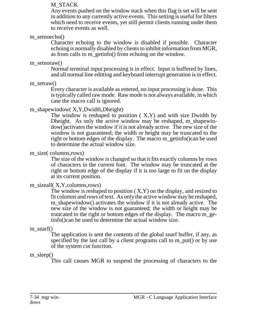#### M\_STACK

Any events pushed on the window stack when this flag is set will be sent in addition to any currently active events. This setting is useful for filters which need to receive events, yet still permit clients running under them to receive events as well.

#### m\_setnoecho()

Character echoing to the window is disabled if possible. Character echoing is normally disabled by clients to inhibit information from MGR, as from calls to m\_getinfo() from echoing on the window.

#### m\_setnoraw()

Normal terminal input processing is in effect. Input is buffered by lines, and all normal line editting and keyboard interrupt generation is in effect.

m\_setraw()

Every character is available as entered, no input processing is done. This is typically called raw mode. Raw mode is not always available, in which case the macro call is ignored.

## m\_shapewindow( X,Y,Dwidth,Dheight)

The window is reshaped to position  $(X, Y)$  and with size Dwidth by Dheight. As only the active window may be reshaped, m\_shapewindow()activates the window if it is not already active. The new size of the window is not guaranteed; the width or height may be truncated to the right or bottom edges of the display. The macro m\_getinfo()can be used to determine the actual window size.

## m\_size( columns,rows)

The size of the window is changed so that it fits exactly columns by rows of characters in the current font. The window may be truncated at the right or bottom edge of the display if it is too large to fit on the display at its current position.

## m\_sizeall( X, Y, columns, rows)

The window is reshaped to position  $(X, Y)$  on the display, and resized to fit columns and rows of text. As only the active window may be reshaped, m shapewindow() activates the window if it is not already active. The new size of the window is not guaranteed; the width or height may be truncated to the right or bottom edges of the display. The macro m\_getinfo()can be used to determine the actual window size.

## m\_snarf()

The application is sent the contents of the global snarf buffer, if any, as specified by the last call by a client programs call to m\_put() or by use of the system cut function.

## m\_sleep()

This call causes MGR to suspend the processing of characters to the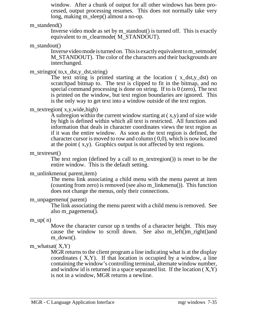window. After a chunk of output for all other windows has been processed, output processing resumes. This does not normally take very long, making m\_sleep() almost a no-op.

#### m standend()

Inverse video mode as set by m\_standout() is turned off. This is exactly equivalent to m\_clearmode( M\_STANDOUT).

#### m\_standout()

Inverse video mode isturned on. This is exactly equivalentto m\_setmode( M\_STANDOUT). The color of the characters and their backgrounds are interchanged.

## m\_stringto( to,x\_dst,y\_dst,string)

The text string is printed starting at the location  $(x_d, y_d, ds)$  on scratchpad bitmap to. The text is clipped to fit in the bitmap, and no special command processing is done on string. If to is 0 (zero), The text is printed on the window, but text region boundaries are ignored. This is the only way to get text into a window outside of the text region.

## m\_textregion( x,y,wide,high)

A subregion within the current window starting at ( x,y) and of size wide by high is defined within which all text is restricted. All functions and information that deals in character coordinates views the text region as if it was the entire window. As soon as the text region is defined, the character cursor is moved to row and column ( 0,0), which is now located at the point ( x,y). Graphics output is not affected by text regions.

#### m\_textreset()

The text region (defined by a call to m\_textregion()) is reset to be the entire window. This is the default setting.

## m\_unlinkmenu( parent, item)

The menu link associating a child menu with the menu parent at item (counting from zero) is removed (see also m\_linkmenu()). This function does not change the menus, only their connections.

## m\_unpagemenu( parent)

The link associating the menu parent with a child menu is removed. See also m\_pagemenu().

## $m$ \_up( $n$ )

Move the character cursor up n tenths of a character height. This may cause the window to scroll down. See also m\_left()m\_right()and m\_down().

## m\_whatsat $(X, Y)$

MGR returns to the client program a line indicating what is at the display coordinates  $(X, Y)$ . If that location is occupied by a window, a line containing the window's controlling terminal, alternate window number, and window id is returned in a space separated list. If the location  $(X, Y)$ is not in a window, MGR returns a newline.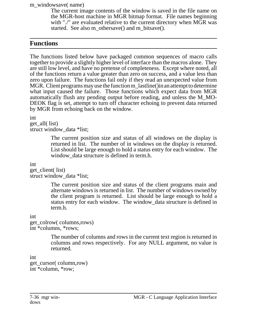m\_windowsave( name)

The current image contents of the window is saved in the file name on the MGR-host machine in MGR bitmap format. File names beginning with "./" are evaluated relative to the current directory when MGR was started. See also m\_othersave() and m\_bitsave().

# **Functions**

The functions listed below have packaged common sequences of macro calls together to provide a slightly higher level of interface than the macros alone. They are still low level, and have no pretense of completeness. Except where noted, all of the functions return a value greater than zero on success, and a value less than zero upon failure. The functions fail only if they read an unexpected value from MGR. Client programs may use the function m\_lastline() in an attempt to determine what input caused the failure. Those functions which expect data from MGR automatically flush any pending output before reading, and unless the M\_MO-DEOK flag is set, attempt to turn off character echoing to prevent data returned by MGR from echoing back on the window.

int

get\_all( list) struct window data \*list;

> The current position size and status of all windows on the display is returned in list. The number of in windows on the display is returned. List should be large enough to hold a status entry for each window. The window data structure is defined in term.h.

int

get\_client( list) struct window\_data \*list;

> The current position size and status of the client programs main and alternate windows is returned in list. The number of windows owned by the client program is returned. List should be large enough to hold a status entry for each window. The window\_data structure is defined in term.h.

int

get\_colrow( columns,rows) int \*columns, \*rows;

> The number of columns and rows in the current text region is returned in columns and rows respectively. For any NULL argument, no value is returned.

int get\_cursor( column,row) int \*column, \*row;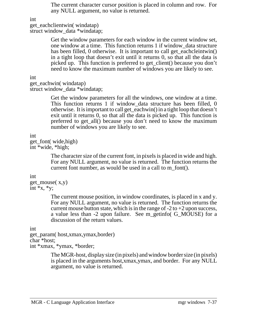The current character cursor position is placed in column and row. For any NULL argument, no value is returned.

int

```
get_eachclientwin( windatap)
```
struct window\_data \*windatap;

Get the window parameters for each window in the current window set, one window at a time. This function returns 1 if window\_data structure has been filled, 0 otherwise. It is important to call get\_eachcleintwin() in a tight loop that doesn't exit until it returns 0, so that all the data is picked up. This function is preferred to get\_client() because you don't need to know the maximum number of windows you are likely to see.

int

get\_eachwin( windatap) struct window data \*windatap;

> Get the window parameters for all the windows, one window at a time. This function returns 1 if window data structure has been filled, 0 otherwise. It is important to call get\_eachwin() in a tight loop that doesn't exit until it returns 0, so that all the data is picked up. This function is preferred to get\_all() because you don't need to know the maximum number of windows you are likely to see.

int

get\_font( wide,high) int \*wide, \*high;

> The character size of the current font, in pixels is placed in wide and high. For any NULL argument, no value is returned. The function returns the current font number, as would be used in a call to m\_font().

int

```
get_mouse( x,y)
int *_{X}, *_{V};
```
The current mouse position, in window coordinates, is placed in x and y. For any NULL argument, no value is returned. The function returns the current mouse button state, which is in the range of  $-2$  to  $+2$  upon success, a value less than -2 upon failure. See m\_getinfo( G\_MOUSE) for a discussion of the return values.

int

get\_param( host,xmax,ymax,border) char \*host; int \*xmax, \*ymax, \*border;

> The MGR-host, display size (in pixels) and window border size (in pixels) is placed in the arguments host,xmax,ymax, and border. For any NULL argument, no value is returned.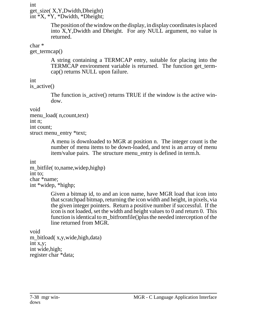int get\_size( X,Y,Dwidth,Dheight) int \*X, \*Y, \*Dwidth, \*Dheight;

> The position of the window on the display, in display coordinates is placed into X,Y,Dwidth and Dheight. For any NULL argument, no value is returned.

char \*

get termcap()

A string containing a TERMCAP entry, suitable for placing into the TERMCAP environment variable is returned. The function get\_termcap() returns NULL upon failure.

int

is\_active()

The function is active() returns TRUE if the window is the active window.

void

```
menu_load( n,count,text)
int n;
int count;
struct menu_entry *text;
```
A menu is downloaded to MGR at position n. The integer count is the number of menu items to be down-loaded, and text is an array of menu item/value pairs. The structure menu\_entry is defined in term.h.

int

```
m_bitfile( to,name, widep,highp)
int to;
char *name;
int *widep, *highp;
```
Given a bitmap id, to and an icon name, have MGR load that icon into that scratchpad bitmap, returning the icon width and height, in pixels, via the given integer pointers. Return a positive number if successful. If the icon is not loaded, set the width and height values to 0 and return 0. This function is identical to m\_bitfromfile()plus the needed interception of the line returned from MGR.

void m\_bitload(x,y,wide,high,data) int x,y; int wide,high; register char \*data;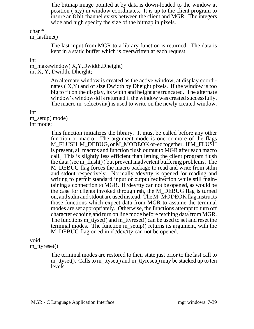The bitmap image pointed at by data is down-loaded to the window at position ( x,y) in window coordinates. It is up to the client program to insure an 8 bit channel exists between the client and MGR. The integers wide and high specify the size of the bitmap in pixels.

char \*

m\_lastline()

The last input from MGR to a library function is returned. The data is kept in a static buffer which is overwritten at each request.

#### int

m\_makewindow( X,Y,Dwidth,Dheight) int X, Y, Dwidth, Dheight;

> An alternate window is created as the active window, at display coordinates ( X,Y) and of size Dwidth by Dheight pixels. If the window is too big to fit on the display, its width and height are truncated. The alternate window's window-id is returned if the window was created successfully. The macro m\_selectwin() is used to write on the newly created window.

int

m\_setup( mode) int mode;

> This function initializes the library. It must be called before any other function or macro. The argument mode is one or more of the flags M\_FLUSH, M\_DEBUG, or M\_MODEOK or-ed together. If M\_FLUSH is present, all macros and function flush output to MGR after each macro call. This is slightly less efficient than letting the client program flush the data (see m\_flush() ) but prevent inadvertent buffering problems. The M DEBUG flag forces the macro package to read and write from stdin and stdout respectively. Normally /dev/tty is opened for reading and writing to permit standard input or output redirection while still maintaining a connection to MGR. If /dev/tty can not be opened, as would be the case for clients invoked through rsh, the M\_DEBUG flag is turned on, and stdin and stdout are used instead. The M\_MODEOK flag instructs those functions which expect data from MGR to assume the terminal modes are set appropriately. Otherwise, the functions attempt to turn off character echoing and turn on line mode before fetching data from MGR. The functions m\_ttyset() and m\_ttyreset() can be used to set and reset the terminal modes. The function m\_setup() returns its argument, with the M\_DEBUG flag or-ed in if /dev/tty can not be opened.

void

m\_ttyreset()

The terminal modes are restored to their state just prior to the last call to m\_ttyset(). Calls to m\_ttyset() and m\_ttyreset() may be stacked up to ten levels.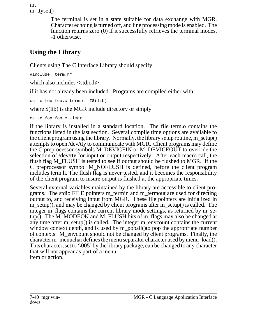int m\_ttyset()

> The terminal is set in a state suitable for data exchange with MGR. Character echoing is turned off, and line processing mode is enabled. The function returns zero (0) if it successfully retrieves the terminal modes, -1 otherwise.

# **Using the Library**

Clients using The C Interface Library should specify:

#include "term.h"

which also includes <stdio.h>

if it has not already been included. Programs are compiled either with

cc -o foo foo.c term.o -I\$(lib)

where  $$(lib)$  is the MGR include directory or simply

cc -o foo foo.c -lmgr

if the library is installed in a standard location. The file term.o contains the functions listed in the last section. Several compile time options are available to the client program using the library. Normally, the library setup routine, m\_setup() attempts to open /dev/tty to communicate with MGR. Client programs may define the C preprocessor symbols M\_DEVICEIN or M\_DEVICEOUT to override the selection of /dev/tty for input or output respectively. After each macro call, the flush flag M\_FLUSH is tested to see if output should be flushed to MGR. If the C preprocessor symbol M\_NOFLUSH is defined, before the client program includes term.h, The flush flag is never tested, and it becomes the responsibility of the client program to insure output is flushed at the appropriate times.

Several external variables maintained by the library are accessible to client programs. The stdio FILE pointers m\_termin and m\_termout are used for directing output to, and receiving input from MGR. These file pointers are initialized in m\_setup(), and may be changed by client programs after m\_setup() is called. The integer m\_flags contains the current library mode settings, as returned by m\_setup(). The M\_MODEOK and M\_FLUSH bits of m\_flags may also be changed at any time after m\_setup() is called. The integer m\_envcount contains the current window context depth, and is used by m\_popall() to pop the appropriate number of contexts. M\_envcount should not be changed by client programs. Finally, the character m\_menuchar defines the menu separator character used by menu\_load(). This character, set to '\005' by the library package, can be changed to any character that will not appear as part of a menu item or action.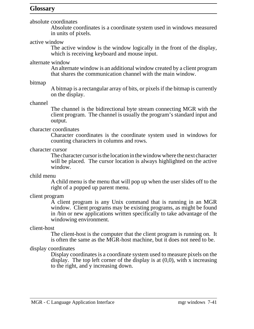## **Glossary**

absolute coordinates

Absolute coordinates is a coordinate system used in windows measured in units of pixels.

#### active window

The active window is the window logically in the front of the display, which is receiving keyboard and mouse input.

#### alternate window

An alternate window is an additional window created by a client program that shares the communication channel with the main window.

#### bitmap

A bitmap is a rectangular array of bits, or pixels if the bitmap is currently on the display.

#### channel

The channel is the bidirectional byte stream connecting MGR with the client program. The channel is usually the program's standard input and output.

#### character coordinates

Character coordinates is the coordinate system used in windows for counting characters in columns and rows.

#### character cursor

The character cursoristhe locationin thewindowwhere the next character will be placed. The cursor location is always highlighted on the active window.

#### child menu

A child menu is the menu that will pop up when the user slides off to the right of a popped up parent menu.

## client program

A client program is any Unix command that is running in an MGR window. Client programs may be existing programs, as might be found in /bin or new applications written specifically to take advantage of the windowing environment.

#### client-host

The client-host is the computer that the client program is running on. It is often the same as the MGR-host machine, but it does not need to be.

## display coordinates

Display coordinates is a coordinate system used to measure pixels on the display. The top left corner of the display is at  $(0,0)$ , with x increasing to the right, and y increasing down.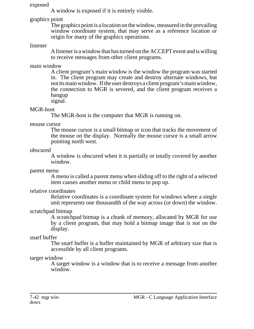#### exposed

A window is exposed if it is entirely visible.

graphics point

The graphics point is a location on the window, measured in the prevailing window coordinate system, that may serve as a reference location or origin for many of the graphics operations.

## listener

A listener is a window that has turned on the ACCEPT event and is willing to receive messages from other client programs.

## main window

A client program's main window is the window the program was started in. The client program may create and destroy alternate windows, but not its main window. If the user destroys a client program's main window, the connection to MGR is severed, and the client program receives a hangup

# signal.

## MGR-host

The MGR-host is the computer that MGR is running on.

## mouse cursor

The mouse cursor is a small bitmap or icon that tracks the movement of the mouse on the display. Normally the mouse cursor is a small arrow pointing north west.

## obscured

A window is obscured when it is partially or totally covered by another window.

## parent menu

A menu is called a parent menu when sliding off to the right of a selected item causes another menu or child menu to pop up.

## relative coordinates

Relative coordinates is a coordinate system for windows where a single unit represents one thousandth of the way across (or down) the window.

## scratchpad bitmap

A scratchpad bitmap is a chunk of memory, allocated by MGR for use by a client program, that may hold a bitmap image that is not on the display.

## snarf buffer

The snarf buffer is a buffer maintained by MGR of arbitrary size that is accessible by all client programs.

## target window

A target window is a window that is to receive a message from another window.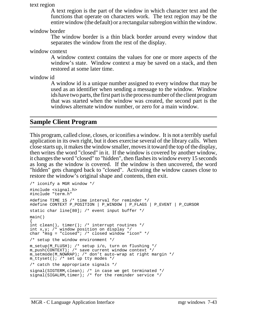text region

A text region is the part of the window in which character text and the functions that operate on characters work. The text region may be the entire window (the default) or a rectangular subregion within the window.

window border

The window border is a thin black border around every window that separates the window from the rest of the display.

window context

A window context contains the values for one or more aspects of the window's state. Window context a may be saved on a stack, and then restored at some later time.

window id

A window id is a unique number assigned to every window that may be used as an identifier when sending a message to the window. Window ids have two parts, the first part is the process number of the client program that was started when the window was created, the second part is the windows alternate window number, or zero for a main window.

# **Sample Client Program**

This program, called close, closes, or iconifies a window. It is not a terribly useful application in its own right, but it does exercise several of the library calls. When close starts up, it makes the window smaller, moves it toward the top of the display, then writes the word "closed" in it. If the window is covered by another window, it changes the word "closed" to "hidden", then flashes its window every 15 seconds as long as the window is covered. If the window is then uncovered, the word "hidden" gets changed back to "closed". Activating the window causes close to restore the window's original shape and contents, then exit.

```
/* iconify a MGR window */
#include <signal.h>
#include "term.h"
#define TIME 15 /* time interval for reminder */
#define CONTEXT P_POSITION | P_WINDOW | P_FLAGS | P_EVENT | P_CURSOR
static char line[80]; /* event input buffer */
main()
{
int clean(), timer(); /* interrupt routines */
int x,y; /* window position on display */
char *_{\text{msg}} = "closed"; /* closed window "icon" */
/* setup the window environment */
m_setup(M_FLUSH); /* setup i/o, turn on flushing */
m_push(CONTEXT); /* save current window context */
m_setmode(M_NOWRAP); /* don't auto-wrap at right margin */
m_tttyset(); /* set up tty modes */
/* catch the appropriate signals */
signal(SIGTERM, clean); /* in case we get terminated */
signal(SIGALRM,timer); /* for the reminder service */
```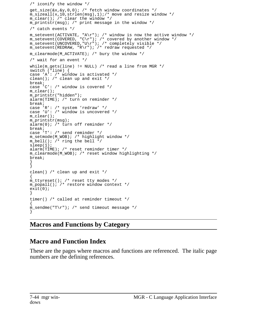```
/* iconify the window */
get_size(&x,&y,0,0); /* fetch window coordinates */
m_sizeall(x,10,strlen(msg),1);/* move and resize window */
m_clear(); /* clear the window */
m_printstr(msg); /* print message in the window */
/* catch events */
m_setevent(ACTIVATE, "A\r"); /* window is now the active window */
m_setevent(COVERED, "C\r"); /* covered by another window */
m_setevent(UNCOVERED,"U\r"); /* completely visible */
m_setevent(REDRAW, "R\r"); /* redraw requested */
m_clearmode(M_ACTIVATE); /* bury the window */
/* wait for an event */
while(m_gets(line) != NULL) /* read a line from MGR */
switch (*line) {
case 'A': /* window is activated */
clean(); /* clean up and exit */break;
case 'C': /* window is covered */
m_clear();
m printstr("hidden");
alarm(TIME); /* turn on reminder */
break;
case 'R': /* system 'redraw' */
case 'U': /* window is uncovered */
m clear();
m_printstr(msg);
alarm(0); /* turn off reminder */
break;
case 'T': /* send reminder */
m_setmode(M_WOB); /* highlight window */
m_bell(); /* ring the bell */
sleep(1);
alarm(TIME); /* reset reminder timer */
m_clearmode(M_WOB); /* reset window highlighting */
break;
}
}
clean() /* clean up and exit */
{
m_ttyreset(); /* reset tty modes */
m_popall(); /* restore window context */
exit(0);
}
timer() /* called at reminder timeout */
{
m_sendme("T\r"); /* send timeout message */
}
```
# **Macros and Functions by Category**

# **Macro and Function Index**

These are the pages where macros and functions are referenced. The italic page numbers are the defining references.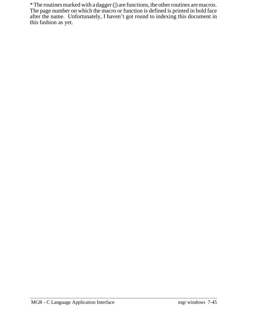\* The routines marked with a dagger (|) are functions, the other routines are macros. The page number on which the macro or function is defined is printed in bold face after the name. Unfortunately, I haven't got round to indexing this document in this fashion as yet.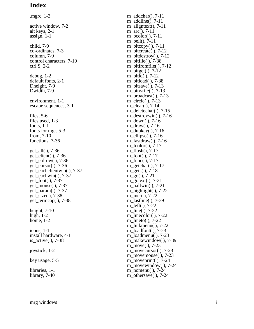# **Index**

.mgrc, 1-3 active window, 7-2 alt keys, 2-1 assign, 1-1 child, 7-9 co-ordinates, 7-3 column, 7-9 control characters, 7-10 ctrl S, 2-2 debug, 1-2 default fonts, 2-1 Dheight, 7-9 Dwidth, 7-9 environment, 1-1 escape sequences, 3-1 files, 5-6 files used, 1-3 fonts, 1-1 fonts for mgr, 5-3 from, 7-10 functions, 7-36 get\_all( ), 7-36 get\_client( ), 7-36 get colrow( $)$ , 7-36 get\_cursor( ), 7-36 get\_eachclientwin( ), 7-37 get\_eachwin( ), 7-37 get font( ),  $7-37$ get\_mouse( ), 7-37 get\_param( ), 7-37 get\_size( ), 7-38 get\_termcap( ), 7-38 height, 7-10 high, 1-2 home, 1-2 icons, 1-1 install hardware, 4-1 is\_active( ), 7-38 joystick, 1-2 key usage, 5-5 libraries, 1-1

library, 7-40

m\_addchar(), 7-11 m  $addline()$ , 7-11 m\_aligntext(), 7-11 m\_arc(), 7-11 m\_bcolor( ), 7-11 m\_bell(), 7-11 m\_bitcopy( ), 7-11 m bitcreate( $)$ , 7-12 m\_bitdestroy( ), 7-12 m\_bitfile( ), 7-38 m\_bitfromfile( ), 7-12 m\_bitget( ), 7-12 m\_bitld( ), 7-12 m\_bitload( ), 7-38 m\_bitsave( ), 7-13 m\_bitwrite( ), 7-13 m\_broadcast( ), 7-13 m\_circle( ), 7-13 m\_clear( ), 7-14 m\_deletechar( ), 7-15 m\_destroywin( ), 7-16 m\_down( ), 7-16 m\_draw( ), 7-16 m\_dupkey( ), 7-16 m\_ellipse( ), 7-16 m\_fastdraw( ), 7-16 m\_fcolor( ), 7-17 m\_flush(), 7-17 m\_font( ), 7-17 m func( ), 7-17 m\_getchar( ), 7-17 m\_gets( ), 7-18 m\_go( ), 7-21 m\_gotext( ), 7-21 m\_halfwin( ), 7-21 m\_highlight( ), 7-22 m\_incr( ), 7-22 m\_lastline( ), 7-39 m\_left( ), 7-22 m\_line( ), 7-22 m linecolor( $)$ , 7-22 m\_lineto( ), 7-22 m\_linkmenu( ), 7-22 m\_loadfont( ), 7-23 m\_loadmenu( ), 7-23 m\_makewindow( ), 7-39 m\_move( ), 7-23 m\_movecursor( ), 7-23 m\_movemouse( ), 7-23 m\_moveprint( ), 7-24 m\_movewindow( ), 7-24 m\_nomenu( ), 7-24 m\_othersave( ), 7-24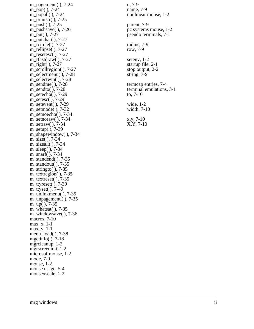m\_pagemenu( ), 7-24 m\_pop( ), 7-24 m\_popall( ), 7-24 m\_printstr( ), 7-25 m\_push( ), 7-25 m\_pushsave( ), 7-26 m\_put( ), 7-27 m\_putchar( ), 7-27 m\_rcircle( ), 7-27 m\_rellipse( ), 7-27 m\_resetesc( ), 7-27 m\_rfastdraw( ), 7-27 m right( ), 7-27 m\_scrollregion( ), 7-27 m\_selectmenu( ), 7-28 m\_selectwin( ), 7-28 m\_sendme( ), 7-28 m\_sendto( ), 7-28 m\_setecho( ), 7-29 m setesc( ), 7-29 m\_setevent( ), 7-29 m\_setmode( ), 7-32 m\_setnoecho( ), 7-34 m setnoraw( $)$ , 7-34 m\_setraw( ), 7-34 m\_setup( ), 7-39 m\_shapewindow( ), 7-34 m\_size( ), 7-34 m\_sizeall( ), 7-34 m\_sleep( ), 7-34 m\_snarf( ), 7-34 m\_standend( ), 7-35 m\_standout( ), 7-35 m\_stringto( ), 7-35 m\_textregion( ), 7-35 m\_textreset( ), 7-35 m\_ttyreset( ), 7-39 m\_ttyset( ), 7-40 m\_unlinkmenu( ), 7-35 m\_unpagemenu( ), 7-35 m\_up( ), 7-35 m\_whatsat( ), 7-35 m\_windowsave( ), 7-36 macros, 7-10 max\_x, 1-1 max\_y, 1-1 menu\_load( ), 7-38 mgetinfo( ), 7-18 mgrcleanup, 1-2 mgrscreeninit, 1-2 microsoftmouse, 1-2 mode, 7-9 mouse, 1-2 mouse usage, 5-4 mousexscale, 1-2

n, 7-9 name, 7-9 nonlinear mouse, 1-2 parent, 7-9 pc systems mouse, 1-2 pseudo terminals, 7-1 radius, 7-9 row, 7-9 setenv, 1-2 startup file, 2-1 stop output, 2-2 string, 7-9 termcap entries, 7-4 terminal emulations, 3-1 to, 7-10 wide, 1-2 width, 7-10 x,y, 7-10 X,Y, 7-10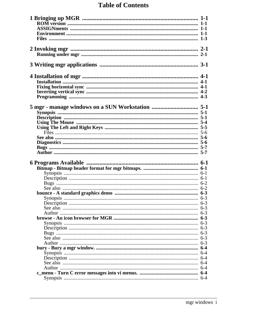# **Table of Contents**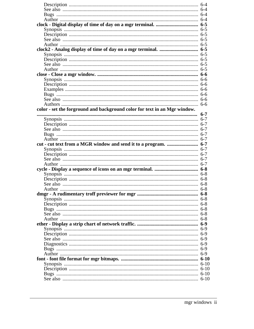|                                                                           | 6-6     |
|---------------------------------------------------------------------------|---------|
|                                                                           |         |
|                                                                           |         |
|                                                                           |         |
|                                                                           |         |
|                                                                           |         |
|                                                                           |         |
|                                                                           |         |
| color - set the forground and background color for text in an Mgr window. |         |
|                                                                           | $6 - 7$ |
|                                                                           |         |
|                                                                           |         |
|                                                                           |         |
|                                                                           |         |
|                                                                           |         |
|                                                                           |         |
|                                                                           |         |
| cut - cut text from a MGR window and send it to a program.  6-7           |         |
|                                                                           |         |
|                                                                           |         |
|                                                                           |         |
|                                                                           |         |
|                                                                           |         |
|                                                                           |         |
|                                                                           |         |
|                                                                           |         |
|                                                                           |         |
|                                                                           |         |
|                                                                           |         |
|                                                                           |         |
|                                                                           |         |
|                                                                           |         |
|                                                                           |         |
|                                                                           |         |
|                                                                           |         |
|                                                                           |         |
|                                                                           |         |
|                                                                           |         |
|                                                                           |         |
|                                                                           |         |
|                                                                           |         |
|                                                                           |         |
|                                                                           |         |
|                                                                           |         |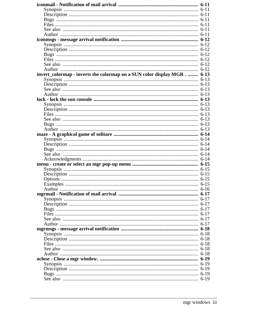| invert_colormap - inverts the colormap on a SUN color display MGR.  6-13 |  |
|--------------------------------------------------------------------------|--|
|                                                                          |  |
|                                                                          |  |
|                                                                          |  |
|                                                                          |  |
|                                                                          |  |
|                                                                          |  |
|                                                                          |  |
|                                                                          |  |
|                                                                          |  |
|                                                                          |  |
|                                                                          |  |
|                                                                          |  |
|                                                                          |  |
|                                                                          |  |
|                                                                          |  |
|                                                                          |  |
|                                                                          |  |
|                                                                          |  |
|                                                                          |  |
|                                                                          |  |
|                                                                          |  |
|                                                                          |  |
|                                                                          |  |
|                                                                          |  |
|                                                                          |  |
|                                                                          |  |
|                                                                          |  |
|                                                                          |  |
|                                                                          |  |
|                                                                          |  |
|                                                                          |  |
|                                                                          |  |
|                                                                          |  |
|                                                                          |  |
|                                                                          |  |
|                                                                          |  |
|                                                                          |  |
|                                                                          |  |
|                                                                          |  |
|                                                                          |  |
|                                                                          |  |
|                                                                          |  |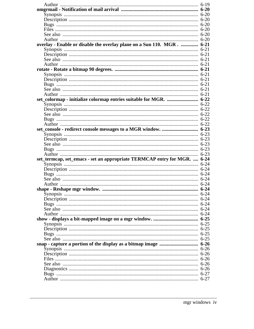| overlay - Enable or disable the overlay plane on a Sun 110. MGR.  6-21   |  |
|--------------------------------------------------------------------------|--|
|                                                                          |  |
|                                                                          |  |
|                                                                          |  |
|                                                                          |  |
|                                                                          |  |
|                                                                          |  |
|                                                                          |  |
|                                                                          |  |
|                                                                          |  |
|                                                                          |  |
|                                                                          |  |
| set_colormap - initialize colormap entries suitable for MGR.  6-22       |  |
|                                                                          |  |
|                                                                          |  |
|                                                                          |  |
|                                                                          |  |
|                                                                          |  |
|                                                                          |  |
|                                                                          |  |
|                                                                          |  |
|                                                                          |  |
|                                                                          |  |
|                                                                          |  |
|                                                                          |  |
| set_termcap, set_emacs - set an appropriate TERMCAP entry for MGR.  6-24 |  |
|                                                                          |  |
|                                                                          |  |
|                                                                          |  |
|                                                                          |  |
|                                                                          |  |
|                                                                          |  |
|                                                                          |  |
|                                                                          |  |
|                                                                          |  |
|                                                                          |  |
|                                                                          |  |
|                                                                          |  |
|                                                                          |  |
|                                                                          |  |
|                                                                          |  |
|                                                                          |  |
|                                                                          |  |
|                                                                          |  |
|                                                                          |  |
|                                                                          |  |
|                                                                          |  |
|                                                                          |  |
|                                                                          |  |
|                                                                          |  |
|                                                                          |  |